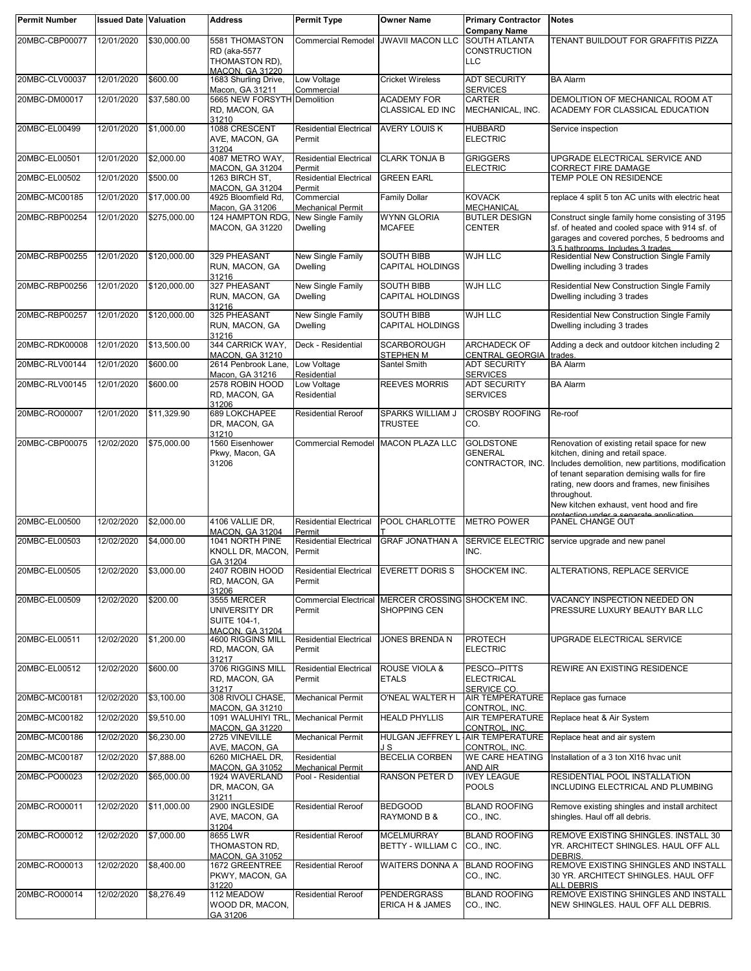| <b>Permit Number</b> | <b>Issued Date Valuation</b> |              | <b>Address</b>                                                    | <b>Permit Type</b>                      | <b>Owner Name</b>                                   | <b>Primary Contractor</b><br><b>Company Name</b>       | <b>Notes</b>                                                                                                                                                                                                                                                                                   |
|----------------------|------------------------------|--------------|-------------------------------------------------------------------|-----------------------------------------|-----------------------------------------------------|--------------------------------------------------------|------------------------------------------------------------------------------------------------------------------------------------------------------------------------------------------------------------------------------------------------------------------------------------------------|
| 20MBC-CBP00077       | 12/01/2020                   | \$30,000.00  | 5581 THOMASTON                                                    | <b>Commercial Remodel</b>               | <b>JWAVII MACON LLC</b>                             | <b>SOUTH ATLANTA</b>                                   | TENANT BUILDOUT FOR GRAFFITIS PIZZA                                                                                                                                                                                                                                                            |
|                      |                              |              | RD (aka-5577<br>THOMASTON RD).                                    |                                         |                                                     | <b>CONSTRUCTION</b><br><b>LLC</b>                      |                                                                                                                                                                                                                                                                                                |
| 20MBC-CLV00037       | 12/01/2020                   | \$600.00     | <b>MACON, GA 31220</b><br>1683 Shurling Drive,<br>Macon, GA 31211 | Low Voltage<br>Commercial               | <b>Cricket Wireless</b>                             | <b>ADT SECURITY</b><br><b>SERVICES</b>                 | <b>BA Alarm</b>                                                                                                                                                                                                                                                                                |
| 20MBC-DM00017        | 12/01/2020                   | \$37,580.00  | 5665 NEW FORSYTH Demolition<br>RD, MACON, GA                      |                                         | <b>ACADEMY FOR</b><br><b>CLASSICAL ED INC</b>       | <b>CARTER</b><br>MECHANICAL, INC.                      | DEMOLITION OF MECHANICAL ROOM AT<br>ACADEMY FOR CLASSICAL EDUCATION                                                                                                                                                                                                                            |
| 20MBC-EL00499        | 12/01/2020                   | \$1,000.00   | 31210<br>1088 CRESCENT<br>AVE, MACON, GA                          | <b>Residential Electrical</b><br>Permit | <b>AVERY LOUIS K</b>                                | <b>HUBBARD</b><br><b>ELECTRIC</b>                      | Service inspection                                                                                                                                                                                                                                                                             |
| 20MBC-EL00501        | 12/01/2020                   | \$2,000.00   | 31204<br>4087 METRO WAY,                                          | <b>Residential Electrical</b>           | <b>CLARK TONJA B</b>                                | <b>GRIGGERS</b>                                        | UPGRADE ELECTRICAL SERVICE AND                                                                                                                                                                                                                                                                 |
| 20MBC-EL00502        | 12/01/2020                   | \$500.00     | <b>MACON, GA 31204</b><br>1263 BIRCH ST,                          | Permit<br><b>Residential Electrical</b> | <b>GREEN EARL</b>                                   | <b>ELECTRIC</b>                                        | CORRECT FIRE DAMAGE<br>TEMP POLE ON RESIDENCE                                                                                                                                                                                                                                                  |
| 20MBC-MC00185        | 12/01/2020                   | \$17,000.00  | <b>MACON, GA 31204</b><br>4925 Bloomfield Rd,                     | Permit<br>Commercial                    | <b>Family Dollar</b>                                | <b>KOVACK</b>                                          | replace 4 split 5 ton AC units with electric heat                                                                                                                                                                                                                                              |
|                      |                              |              | Macon, GA 31206                                                   | <b>Mechanical Permit</b>                |                                                     | <b>MECHANICAL</b>                                      |                                                                                                                                                                                                                                                                                                |
| 20MBC-RBP00254       | 12/01/2020                   | \$275,000.00 | 124 HAMPTON RDG,<br><b>MACON, GA 31220</b>                        | New Single Family<br><b>Dwelling</b>    | <b>WYNN GLORIA</b><br><b>MCAFEE</b>                 | <b>BUTLER DESIGN</b><br><b>CENTER</b>                  | Construct single family home consisting of 3195<br>sf. of heated and cooled space with 914 sf. of<br>garages and covered porches, 5 bedrooms and<br>3.5 bathrooms. Includes 3 trades.                                                                                                          |
| 20MBC-RBP00255       | 12/01/2020                   | \$120,000.00 | 329 PHEASANT<br>RUN, MACON, GA<br>31216                           | New Single Family<br><b>Dwelling</b>    | <b>SOUTH BIBB</b><br><b>CAPITAL HOLDINGS</b>        | WJH LLC                                                | Residential New Construction Single Family<br>Dwelling including 3 trades                                                                                                                                                                                                                      |
| 20MBC-RBP00256       | 12/01/2020                   | \$120,000.00 | 327 PHEASANT<br>RUN, MACON, GA<br>31216                           | New Single Family<br><b>Dwelling</b>    | <b>SOUTH BIBB</b><br><b>CAPITAL HOLDINGS</b>        | WJH LLC                                                | Residential New Construction Single Family<br>Dwelling including 3 trades                                                                                                                                                                                                                      |
| 20MBC-RBP00257       | 12/01/2020                   | \$120,000.00 | 325 PHEASANT<br>RUN, MACON, GA<br>31216                           | New Single Family<br><b>Dwelling</b>    | <b>SOUTH BIBB</b><br><b>CAPITAL HOLDINGS</b>        | WJH LLC                                                | Residential New Construction Single Family<br>Dwelling including 3 trades                                                                                                                                                                                                                      |
| 20MBC-RDK00008       | 12/01/2020                   | \$13,500.00  | 344 CARRICK WAY,                                                  | Deck - Residential                      | <b>SCARBOROUGH</b>                                  | ARCHADECK OF                                           | Adding a deck and outdoor kitchen including 2                                                                                                                                                                                                                                                  |
| 20MBC-RLV00144       | 12/01/2020                   | \$600.00     | MACON, GA 31210<br>2614 Penbrook Lane,                            | Low Voltage                             | <b>STEPHEN M</b><br>Santel Smith                    | CENTRAL GEORGIA<br><b>ADT SECURITY</b>                 | trades.<br><b>BA Alarm</b>                                                                                                                                                                                                                                                                     |
|                      |                              |              | Macon, GA 31216                                                   | Residential                             |                                                     | <b>SERVICES</b>                                        |                                                                                                                                                                                                                                                                                                |
| 20MBC-RLV00145       | 12/01/2020                   | \$600.00     | 2578 ROBIN HOOD<br>RD, MACON, GA<br>31206                         | Low Voltage<br>Residential              | <b>REEVES MORRIS</b>                                | <b>ADT SECURITY</b><br><b>SERVICES</b>                 | <b>BA Alarm</b>                                                                                                                                                                                                                                                                                |
| 20MBC-RO00007        | 12/01/2020                   | \$11,329.90  | 689 LOKCHAPEE<br>DR, MACON, GA<br>31210                           | <b>Residential Reroof</b>               | SPARKS WILLIAM J<br><b>TRUSTEE</b>                  | <b>CROSBY ROOFING</b><br>CO.                           | Re-roof                                                                                                                                                                                                                                                                                        |
| 20MBC-CBP00075       | 12/02/2020                   | \$75,000.00  | 1560 Eisenhower<br>Pkwy, Macon, GA<br>31206                       | <b>Commercial Remodel</b>               | <b>MACON PLAZA LLC</b>                              | <b>GOLDSTONE</b><br><b>GENERAL</b><br>CONTRACTOR, INC. | Renovation of existing retail space for new<br>kitchen, dining and retail space.<br>Includes demolition, new partitions, modification<br>of tenant separation demising walls for fire<br>rating, new doors and frames, new finisihes<br>throughout.<br>New kitchen exhaust, vent hood and fire |
| 20MBC-EL00500        | 12/02/2020                   | \$2,000.00   | 4106 VALLIE DR,<br><b>MACON, GA 31204</b>                         | <b>Residential Electrical</b><br>Permit | POOL CHARLOTTE                                      | <b>METRO POWER</b>                                     | PANEL CHANGE OUT                                                                                                                                                                                                                                                                               |
| 20MBC-EL00503        | 12/02/2020                   | \$4,000.00   | 1041 NORTH PINE<br>KNOLL DR, MACON, Permit                        | <b>Residential Electrical</b>           | <b>GRAF JONATHAN A</b>                              | <b>SERVICE ELECTRIC</b><br>INC.                        | service upgrade and new panel                                                                                                                                                                                                                                                                  |
| 20MBC-EL00505        | 12/02/2020                   | \$3,000.00   | GA 31204<br>2407 ROBIN HOOD                                       | <b>Residential Electrical</b>           | <b>EVERETT DORIS S</b>                              | SHOCK'EM INC.                                          | ALTERATIONS, REPLACE SERVICE                                                                                                                                                                                                                                                                   |
| 20MBC-EL00509        | 12/02/2020                   | \$200.00     | RD, MACON, GA<br>31206<br>3555 MERCER                             | Permit                                  | Commercial Electrical MERCER CROSSING SHOCK'EM INC. |                                                        | VACANCY INSPECTION NEEDED ON                                                                                                                                                                                                                                                                   |
|                      |                              |              | UNIVERSITY DR<br><b>SUITE 104-1.</b><br><b>MACON, GA 31204</b>    | Permit                                  | SHOPPING CEN                                        |                                                        | PRESSURE LUXURY BEAUTY BAR LLC                                                                                                                                                                                                                                                                 |
| 20MBC-EL00511        | 12/02/2020                   | \$1,200.00   | 4600 RIGGINS MILL<br>RD, MACON, GA<br>31217                       | <b>Residential Electrical</b><br>Permit | JONES BRENDA N                                      | <b>PROTECH</b><br><b>ELECTRIC</b>                      | UPGRADE ELECTRICAL SERVICE                                                                                                                                                                                                                                                                     |
| 20MBC-EL00512        | 12/02/2020                   | \$600.00     | 3706 RIGGINS MILL<br>RD, MACON, GA<br>31217                       | <b>Residential Electrical</b><br>Permit | <b>ROUSE VIOLA &amp;</b><br><b>ETALS</b>            | PESCO--PITTS<br><b>ELECTRICAL</b><br>SERVICE CO.       | REWIRE AN EXISTING RESIDENCE                                                                                                                                                                                                                                                                   |
| 20MBC-MC00181        | 12/02/2020                   | \$3,100.00   | 308 RIVOLI CHASE.<br><b>MACON, GA 31210</b>                       | <b>Mechanical Permit</b>                | O'NEAL WALTER H                                     | AIR TEMPERATURE Replace gas furnace<br>CONTROL, INC.   |                                                                                                                                                                                                                                                                                                |
| 20MBC-MC00182        | 12/02/2020                   | \$9.510.00   | 1091 WALUHIYI TRL, Mechanical Permit<br><b>MACON, GA 31220</b>    |                                         | <b>HEALD PHYLLIS</b>                                | CONTROL, INC.                                          | AIR TEMPERATURE Replace heat & Air System                                                                                                                                                                                                                                                      |
| 20MBC-MC00186        | 12/02/2020                   | \$6,230.00   | 2725 VINEVILLE<br>AVE, MACON, GA                                  | <b>Mechanical Permit</b>                | HULGAN JEFFREY L<br>J S                             | CONTROL. INC.                                          | AIR TEMPERATURE Replace heat and air system                                                                                                                                                                                                                                                    |
| 20MBC-MC00187        | 12/02/2020                   | \$7,888.00   | 6260 MICHAEL DR,<br><b>MACON, GA 31052</b>                        | Residential<br><b>Mechanical Permit</b> | <b>BECELIA CORBEN</b>                               | <b>WE CARE HEATING</b><br>AND AIR                      | Installation of a 3 ton XI16 hvac unit                                                                                                                                                                                                                                                         |
| 20MBC-PO00023        | 12/02/2020                   | \$65,000.00  | 1924 WAVERLAND<br>DR, MACON, GA<br>31211                          | Pool - Residential                      | RANSON PETER D                                      | <b>IVEY LEAGUE</b><br><b>POOLS</b>                     | RESIDENTIAL POOL INSTALLATION<br>INCLUDING ELECTRICAL AND PLUMBING                                                                                                                                                                                                                             |
| 20MBC-RO00011        | 12/02/2020                   | \$11,000.00  | 2900 INGLESIDE<br>AVE, MACON, GA<br>31204                         | <b>Residential Reroof</b>               | <b>BEDGOOD</b><br>RAYMOND B &                       | <b>BLAND ROOFING</b><br>CO., INC.                      | Remove existing shingles and install architect<br>shingles. Haul off all debris.                                                                                                                                                                                                               |
| 20MBC-RO00012        | 12/02/2020                   | \$7,000.00   | 8655 LWR<br>THOMASTON RD,<br><b>MACON, GA 31052</b>               | <b>Residential Reroof</b>               | <b>MCELMURRAY</b><br><b>BETTY - WILLIAM C</b>       | <b>BLAND ROOFING</b><br>CO., INC.                      | REMOVE EXISTING SHINGLES. INSTALL 30<br>YR. ARCHITECT SHINGLES. HAUL OFF ALL<br>DEBRIS.                                                                                                                                                                                                        |
| 20MBC-RO00013        | 12/02/2020                   | \$8,400.00   | 1672 GREENTREE<br>PKWY, MACON, GA<br>31220                        | <b>Residential Reroof</b>               | WAITERS DONNA A                                     | <b>BLAND ROOFING</b><br>CO., INC.                      | REMOVE EXISTING SHINGLES AND INSTALL<br>30 YR. ARCHITECT SHINGLES. HAUL OFF<br>ALL DEBRIS                                                                                                                                                                                                      |
| 20MBC-RO00014        | 12/02/2020                   | \$8,276.49   | 112 MEADOW<br>WOOD DR, MACON,<br>GA 31206                         | <b>Residential Reroof</b>               | <b>PENDERGRASS</b><br>ERICA H & JAMES               | <b>BLAND ROOFING</b><br>CO., INC.                      | REMOVE EXISTING SHINGLES AND INSTALL<br>NEW SHINGLES. HAUL OFF ALL DEBRIS.                                                                                                                                                                                                                     |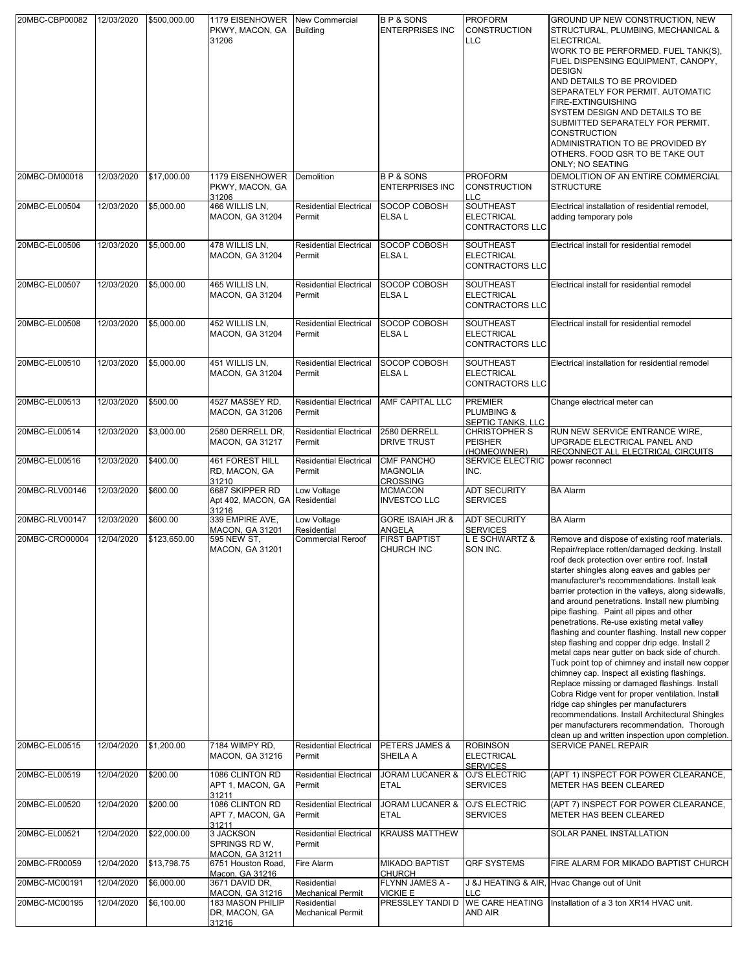| 20MBC-CBP00082 | 12/03/2020 | \$500,000.00 | 1179 EISENHOWER<br>PKWY, MACON, GA<br>31206                | <b>New Commercial</b><br><b>Building</b> | <b>BP&amp;SONS</b><br><b>ENTERPRISES INC</b>            | <b>PROFORM</b><br><b>CONSTRUCTION</b><br><b>LLC</b>                 | GROUND UP NEW CONSTRUCTION, NEW<br>STRUCTURAL, PLUMBING, MECHANICAL &<br><b>ELECTRICAL</b><br>WORK TO BE PERFORMED. FUEL TANK(S),<br>FUEL DISPENSING EQUIPMENT, CANOPY,<br><b>DESIGN</b><br>AND DETAILS TO BE PROVIDED<br>SEPARATELY FOR PERMIT. AUTOMATIC<br>FIRE-EXTINGUISHING<br>SYSTEM DESIGN AND DETAILS TO BE<br>SUBMITTED SEPARATELY FOR PERMIT.<br><b>CONSTRUCTION</b><br>ADMINISTRATION TO BE PROVIDED BY<br>OTHERS. FOOD QSR TO BE TAKE OUT<br><b>ONLY; NO SEATING</b>                                                                                                                                                                                                                                                                                                                                                                                                                                                                                                                                  |
|----------------|------------|--------------|------------------------------------------------------------|------------------------------------------|---------------------------------------------------------|---------------------------------------------------------------------|-------------------------------------------------------------------------------------------------------------------------------------------------------------------------------------------------------------------------------------------------------------------------------------------------------------------------------------------------------------------------------------------------------------------------------------------------------------------------------------------------------------------------------------------------------------------------------------------------------------------------------------------------------------------------------------------------------------------------------------------------------------------------------------------------------------------------------------------------------------------------------------------------------------------------------------------------------------------------------------------------------------------|
| 20MBC-DM00018  | 12/03/2020 | \$17,000.00  | 1179 EISENHOWER<br>PKWY, MACON, GA<br>31206                | Demolition                               | <b>BP&amp;SONS</b><br><b>ENTERPRISES INC</b>            | <b>PROFORM</b><br><b>CONSTRUCTION</b><br><b>LLC</b>                 | DEMOLITION OF AN ENTIRE COMMERCIAL<br><b>STRUCTURE</b>                                                                                                                                                                                                                                                                                                                                                                                                                                                                                                                                                                                                                                                                                                                                                                                                                                                                                                                                                            |
| 20MBC-EL00504  | 12/03/2020 | \$5,000.00   | 466 WILLIS LN,<br><b>MACON, GA 31204</b>                   | <b>Residential Electrical</b><br>Permit  | SOCOP COBOSH<br>ELSA L                                  | <b>SOUTHEAST</b><br><b>ELECTRICAL</b><br><b>CONTRACTORS LLC</b>     | Electrical installation of residential remodel,<br>adding temporary pole                                                                                                                                                                                                                                                                                                                                                                                                                                                                                                                                                                                                                                                                                                                                                                                                                                                                                                                                          |
| 20MBC-EL00506  | 12/03/2020 | \$5,000.00   | 478 WILLIS LN,<br><b>MACON, GA 31204</b>                   | <b>Residential Electrical</b><br>Permit  | SOCOP COBOSH<br>ELSA L                                  | SOUTHEAST<br><b>ELECTRICAL</b><br><b>CONTRACTORS LLC</b>            | Electrical install for residential remodel                                                                                                                                                                                                                                                                                                                                                                                                                                                                                                                                                                                                                                                                                                                                                                                                                                                                                                                                                                        |
| 20MBC-EL00507  | 12/03/2020 | \$5,000.00   | 465 WILLIS LN.<br><b>MACON, GA 31204</b>                   | <b>Residential Electrical</b><br>Permit  | SOCOP COBOSH<br>ELSA L                                  | <b>SOUTHEAST</b><br><b>ELECTRICAL</b><br><b>CONTRACTORS LLC</b>     | Electrical install for residential remodel                                                                                                                                                                                                                                                                                                                                                                                                                                                                                                                                                                                                                                                                                                                                                                                                                                                                                                                                                                        |
| 20MBC-EL00508  | 12/03/2020 | \$5,000.00   | 452 WILLIS LN,<br><b>MACON, GA 31204</b>                   | <b>Residential Electrical</b><br>Permit  | SOCOP COBOSH<br>ELSA L                                  | <b>SOUTHEAST</b><br><b>ELECTRICAL</b><br><b>CONTRACTORS LLC</b>     | Electrical install for residential remodel                                                                                                                                                                                                                                                                                                                                                                                                                                                                                                                                                                                                                                                                                                                                                                                                                                                                                                                                                                        |
| 20MBC-EL00510  | 12/03/2020 | \$5,000.00   | 451 WILLIS LN.<br><b>MACON, GA 31204</b>                   | <b>Residential Electrical</b><br>Permit  | SOCOP COBOSH<br>ELSA L                                  | <b>SOUTHEAST</b><br><b>ELECTRICAL</b><br><b>CONTRACTORS LLC</b>     | Electrical installation for residential remodel                                                                                                                                                                                                                                                                                                                                                                                                                                                                                                                                                                                                                                                                                                                                                                                                                                                                                                                                                                   |
| 20MBC-EL00513  | 12/03/2020 | \$500.00     | 4527 MASSEY RD,<br><b>MACON, GA 31206</b>                  | <b>Residential Electrical</b><br>Permit  | <b>AMF CAPITAL LLC</b>                                  | <b>PREMIER</b><br><b>PLUMBING &amp;</b><br><b>SEPTIC TANKS, LLC</b> | Change electrical meter can                                                                                                                                                                                                                                                                                                                                                                                                                                                                                                                                                                                                                                                                                                                                                                                                                                                                                                                                                                                       |
| 20MBC-EL00514  | 12/03/2020 | \$3,000.00   | 2580 DERRELL DR,<br><b>MACON, GA 31217</b>                 | <b>Residential Electrical</b><br>Permit  | 2580 DERRELL<br><b>DRIVE TRUST</b>                      | <b>CHRISTOPHER S</b><br><b>PEISHER</b><br>(HOMEOWNER)               | RUN NEW SERVICE ENTRANCE WIRE,<br>UPGRADE ELECTRICAL PANEL AND<br>RECONNECT ALL ELECTRICAL CIRCUITS                                                                                                                                                                                                                                                                                                                                                                                                                                                                                                                                                                                                                                                                                                                                                                                                                                                                                                               |
| 20MBC-EL00516  | 12/03/2020 | \$400.00     | <b>461 FOREST HILL</b><br>RD, MACON, GA<br>31210           | <b>Residential Electrical</b><br>Permit  | <b>CMF PANCHO</b><br><b>MAGNOLIA</b><br><b>CROSSING</b> | <b>SERVICE ELECTRIC</b><br>INC.                                     | power reconnect                                                                                                                                                                                                                                                                                                                                                                                                                                                                                                                                                                                                                                                                                                                                                                                                                                                                                                                                                                                                   |
| 20MBC-RLV00146 | 12/03/2020 | \$600.00     | 6687 SKIPPER RD<br>Apt 402, MACON, GA Residential<br>31216 | Low Voltage                              | <b>MCMACON</b><br><b>INVESTCO LLC</b>                   | <b>ADT SECURITY</b><br><b>SERVICES</b>                              | <b>BA Alarm</b>                                                                                                                                                                                                                                                                                                                                                                                                                                                                                                                                                                                                                                                                                                                                                                                                                                                                                                                                                                                                   |
| 20MBC-RLV00147 | 12/03/2020 | \$600.00     | 339 EMPIRE AVE,<br><b>MACON, GA 31201</b>                  | Low Voltage<br>Residential               | <b>GORE ISAIAH JR &amp;</b><br>ANGELA                   | <b>ADT SECURITY</b><br><b>SERVICES</b>                              | <b>BA Alarm</b>                                                                                                                                                                                                                                                                                                                                                                                                                                                                                                                                                                                                                                                                                                                                                                                                                                                                                                                                                                                                   |
| 20MBC-CRO00004 | 12/04/2020 | \$123,650.00 | 595 NEW ST,<br><b>MACON, GA 31201</b>                      | <b>Commercial Reroof</b>                 | <b>FIRST BAPTIST</b><br>CHURCH INC                      | L E SCHWARTZ &<br>SON INC.                                          | Remove and dispose of existing roof materials.<br>Repair/replace rotten/damaged decking. Install<br>roof deck protection over entire roof. Install<br>starter shingles along eaves and gables per<br>manufacturer's recommendations. Install leak<br>barrier protection in the valleys, along sidewalls,<br>and around penetrations. Install new plumbing<br>pipe flashing. Paint all pipes and other<br>penetrations. Re-use existing metal valley<br>flashing and counter flashing. Install new copper<br>step flashing and copper drip edge. Install 2<br>metal caps near gutter on back side of church.<br>Tuck point top of chimney and install new copper<br>chimney cap. Inspect all existing flashings.<br>Replace missing or damaged flashings. Install<br>Cobra Ridge vent for proper ventilation. Install<br>ridge cap shingles per manufacturers<br>recommendations. Install Architectural Shingles<br>per manufacturers recommendation. Thorough<br>clean up and written inspection upon completion. |
| 20MBC-EL00515  | 12/04/2020 | \$1,200.00   | 7184 WIMPY RD,<br><b>MACON, GA 31216</b>                   | <b>Residential Electrical</b><br>Permit  | PETERS JAMES &<br>SHEILA A                              | <b>ROBINSON</b><br><b>ELECTRICAL</b><br><b>SERVICES</b>             | SERVICE PANEL REPAIR                                                                                                                                                                                                                                                                                                                                                                                                                                                                                                                                                                                                                                                                                                                                                                                                                                                                                                                                                                                              |
| 20MBC-EL00519  | 12/04/2020 | \$200.00     | 1086 CLINTON RD<br>APT 1, MACON, GA<br>31211               | <b>Residential Electrical</b><br>Permit  | <b>JORAM LUCANER &amp;</b><br>ETAL                      | OJ'S ELECTRIC<br><b>SERVICES</b>                                    | (APT 1) INSPECT FOR POWER CLEARANCE,<br>METER HAS BEEN CLEARED                                                                                                                                                                                                                                                                                                                                                                                                                                                                                                                                                                                                                                                                                                                                                                                                                                                                                                                                                    |
| 20MBC-EL00520  | 12/04/2020 | \$200.00     | 1086 CLINTON RD<br>APT 7, MACON, GA<br>31211               | <b>Residential Electrical</b><br>Permit  | <b>JORAM LUCANER &amp;</b><br><b>ETAL</b>               | OJ'S ELECTRIC<br><b>SERVICES</b>                                    | (APT 7) INSPECT FOR POWER CLEARANCE,<br>METER HAS BEEN CLEARED                                                                                                                                                                                                                                                                                                                                                                                                                                                                                                                                                                                                                                                                                                                                                                                                                                                                                                                                                    |
| 20MBC-EL00521  | 12/04/2020 | \$22,000.00  | 3 JACKSON<br>SPRINGS RD W.<br><b>MACON, GA 31211</b>       | <b>Residential Electrical</b><br>Permit  | <b>KRAUSS MATTHEW</b>                                   |                                                                     | SOLAR PANEL INSTALLATION                                                                                                                                                                                                                                                                                                                                                                                                                                                                                                                                                                                                                                                                                                                                                                                                                                                                                                                                                                                          |
| 20MBC-FR00059  | 12/04/2020 | \$13,798.75  | 6751 Houston Road,<br>Macon, GA 31216                      | Fire Alarm                               | <b>MIKADO BAPTIST</b><br><b>CHURCH</b>                  | <b>QRF SYSTEMS</b>                                                  | FIRE ALARM FOR MIKADO BAPTIST CHURCH                                                                                                                                                                                                                                                                                                                                                                                                                                                                                                                                                                                                                                                                                                                                                                                                                                                                                                                                                                              |
| 20MBC-MC00191  | 12/04/2020 | \$6,000.00   | 3671 DAVID DR,<br>MACON, GA 31216                          | Residential<br><b>Mechanical Permit</b>  | FLYNN JAMES A -<br><b>VICKIE E</b>                      | <b>LLC</b>                                                          | J &J HEATING & AIR, Hvac Change out of Unit                                                                                                                                                                                                                                                                                                                                                                                                                                                                                                                                                                                                                                                                                                                                                                                                                                                                                                                                                                       |
| 20MBC-MC00195  | 12/04/2020 | \$6,100.00   | 183 MASON PHILIP<br>DR, MACON, GA<br>31216                 | Residential<br><b>Mechanical Permit</b>  | PRESSLEY TANDI D                                        | <b>WE CARE HEATING</b><br>AND AIR                                   | Installation of a 3 ton XR14 HVAC unit.                                                                                                                                                                                                                                                                                                                                                                                                                                                                                                                                                                                                                                                                                                                                                                                                                                                                                                                                                                           |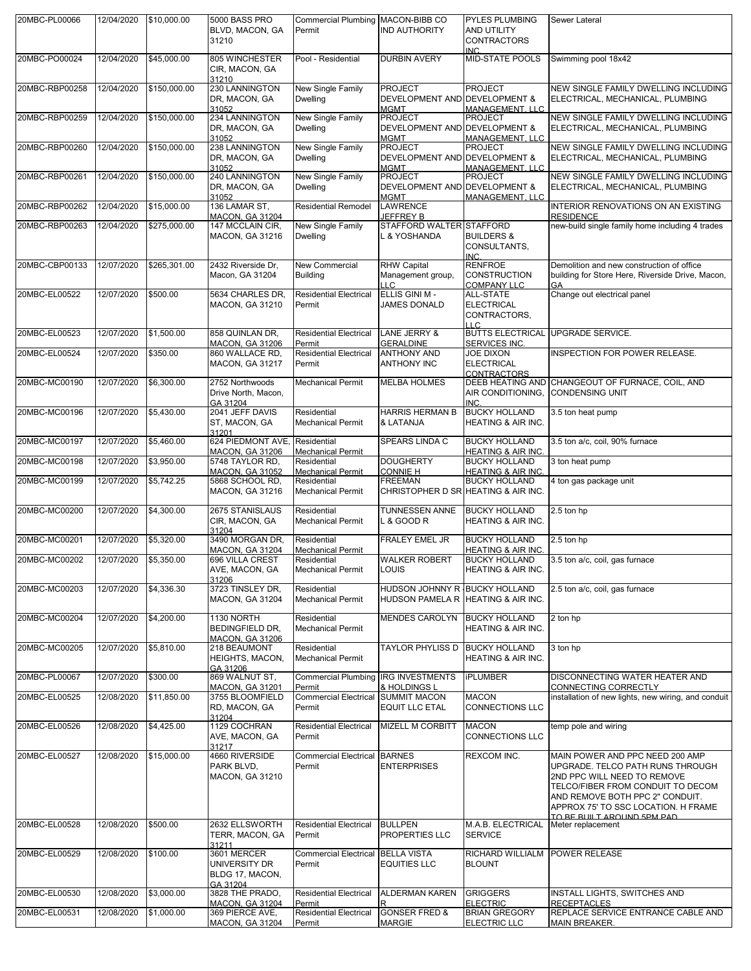| 20MBC-PL00066  | 12/04/2020 | \$10,000.00  | 5000 BASS PRO                                                        | Commercial Plumbing MACON-BIBB CO                                   |                                                                          | <b>PYLES PLUMBING</b>                                                                  | Sewer Lateral                                                                                                                                                                                                                                     |
|----------------|------------|--------------|----------------------------------------------------------------------|---------------------------------------------------------------------|--------------------------------------------------------------------------|----------------------------------------------------------------------------------------|---------------------------------------------------------------------------------------------------------------------------------------------------------------------------------------------------------------------------------------------------|
|                |            |              | BLVD, MACON, GA<br>31210                                             | Permit                                                              | <b>IND AUTHORITY</b>                                                     | AND UTILITY<br><b>CONTRACTORS</b><br><b>INC</b>                                        |                                                                                                                                                                                                                                                   |
| 20MBC-PO00024  | 12/04/2020 | \$45,000.00  | 805 WINCHESTER<br>CIR, MACON, GA<br>31210                            | Pool - Residential                                                  | <b>DURBIN AVERY</b>                                                      | <b>MID-STATE POOLS</b>                                                                 | Swimming pool 18x42                                                                                                                                                                                                                               |
| 20MBC-RBP00258 | 12/04/2020 | \$150,000.00 | 230 LANNINGTON<br>DR, MACON, GA                                      | New Single Family<br><b>Dwelling</b>                                | <b>PROJECT</b><br>DEVELOPMENT AND DEVELOPMENT &                          | <b>PROJECT</b>                                                                         | NEW SINGLE FAMILY DWELLING INCLUDING<br>ELECTRICAL, MECHANICAL, PLUMBING                                                                                                                                                                          |
| 20MBC-RBP00259 | 12/04/2020 | \$150,000.00 | 31052<br>234 LANNINGTON<br>DR, MACON, GA                             | New Single Family<br><b>Dwelling</b>                                | <b>MGMT</b><br><b>PROJECT</b><br>DEVELOPMENT AND DEVELOPMENT &           | <b>MANAGEMENT, LLC</b><br><b>PROJECT</b>                                               | NEW SINGLE FAMILY DWELLING INCLUDING<br>ELECTRICAL, MECHANICAL, PLUMBING                                                                                                                                                                          |
| 20MBC-RBP00260 | 12/04/2020 | \$150,000.00 | 31052<br>238 LANNINGTON<br>DR, MACON, GA                             | New Single Family<br><b>Dwelling</b>                                | <b>MGMT</b><br><b>PROJECT</b><br>DEVELOPMENT AND DEVELOPMENT &           | <b>MANAGEMENT, LLC</b><br><b>PROJECT</b>                                               | NEW SINGLE FAMILY DWELLING INCLUDING<br>ELECTRICAL, MECHANICAL, PLUMBING                                                                                                                                                                          |
| 20MBC-RBP00261 | 12/04/2020 | \$150,000.00 | 31052<br>240 LANNINGTON<br>DR, MACON, GA                             | New Single Family<br><b>Dwelling</b>                                | <b>MGMT</b><br><b>PROJECT</b><br>DEVELOPMENT AND DEVELOPMENT &           | <b>MANAGEMENT, LLC</b><br><b>PROJECT</b>                                               | NEW SINGLE FAMILY DWELLING INCLUDING<br>ELECTRICAL, MECHANICAL, PLUMBING                                                                                                                                                                          |
| 20MBC-RBP00262 | 12/04/2020 | \$15,000.00  | 31052<br>136 LAMAR ST,                                               | <b>Residential Remodel</b>                                          | <b>MGMT</b><br><b>LAWRENCE</b>                                           | MANAGEMENT. LLC                                                                        | INTERIOR RENOVATIONS ON AN EXISTING                                                                                                                                                                                                               |
| 20MBC-RBP00263 | 12/04/2020 | \$275,000.00 | <b>MACON, GA 31204</b><br>147 MCCLAIN CIR,<br><b>MACON, GA 31216</b> | New Single Family<br><b>Dwelling</b>                                | JEFFREY B<br>STAFFORD WALTER STAFFORD<br>L & YOSHANDA                    | <b>BUILDERS &amp;</b><br>CONSULTANTS,                                                  | <b>RESIDENCE</b><br>new-build single family home including 4 trades                                                                                                                                                                               |
| 20MBC-CBP00133 | 12/07/2020 | \$265,301.00 | 2432 Riverside Dr.<br>Macon, GA 31204                                | New Commercial<br><b>Building</b>                                   | <b>RHW Capital</b><br>Management group,<br><b>LLC</b>                    | INC.<br><b>RENFROE</b><br><b>CONSTRUCTION</b><br><b>COMPANY LLC</b>                    | Demolition and new construction of office<br>building for Store Here, Riverside Drive, Macon,                                                                                                                                                     |
| 20MBC-EL00522  | 12/07/2020 | \$500.00     | 5634 CHARLES DR,<br><b>MACON, GA 31210</b>                           | <b>Residential Electrical</b><br>Permit                             | ELLIS GINI M -<br><b>JAMES DONALD</b>                                    | ALL-STATE<br><b>ELECTRICAL</b><br>CONTRACTORS,                                         | Change out electrical panel                                                                                                                                                                                                                       |
| 20MBC-EL00523  | 12/07/2020 | \$1,500.00   | 858 QUINLAN DR,<br><b>MACON, GA 31206</b>                            | <b>Residential Electrical</b><br>Permit                             | <b>LANE JERRY &amp;</b><br><b>GERALDINE</b>                              | H C<br><b>BUTTS ELECTRICAL</b><br>SERVICES INC.                                        | <b>UPGRADE SERVICE.</b>                                                                                                                                                                                                                           |
| 20MBC-EL00524  | 12/07/2020 | \$350.00     | 860 WALLACE RD,<br><b>MACON, GA 31217</b>                            | <b>Residential Electrical</b><br>Permit                             | <b>ANTHONY AND</b><br><b>ANTHONY INC</b>                                 | <b>JOE DIXON</b><br><b>ELECTRICAL</b>                                                  | INSPECTION FOR POWER RELEASE.                                                                                                                                                                                                                     |
| 20MBC-MC00190  | 12/07/2020 | \$6,300.00   | 2752 Northwoods<br>Drive North, Macon,<br>GA 31204                   | <b>Mechanical Permit</b>                                            | <b>MELBA HOLMES</b>                                                      | <b>CONTRACTORS</b><br>DEEB HEATING AND<br>AIR CONDITIONING,<br><b>INC</b>              | CHANGEOUT OF FURNACE, COIL, AND<br><b>CONDENSING UNIT</b>                                                                                                                                                                                         |
| 20MBC-MC00196  | 12/07/2020 | \$5,430.00   | 2041 JEFF DAVIS<br>ST, MACON, GA<br>31201                            | Residential<br><b>Mechanical Permit</b>                             | <b>HARRIS HERMAN B</b><br>& LATANJA                                      | <b>BUCKY HOLLAND</b><br><b>HEATING &amp; AIR INC.</b>                                  | 3.5 ton heat pump                                                                                                                                                                                                                                 |
| 20MBC-MC00197  | 12/07/2020 | \$5,460.00   | 624 PIEDMONT AVE, Residential                                        |                                                                     | <b>SPEARS LINDA C</b>                                                    | <b>BUCKY HOLLAND</b>                                                                   | 3.5 ton a/c, coil, 90% furnace                                                                                                                                                                                                                    |
| 20MBC-MC00198  | 12/07/2020 | \$3,950.00   | <b>MACON, GA 31206</b><br>5748 TAYLOR RD,                            | <b>Mechanical Permit</b><br>Residential                             | <b>DOUGHERTY</b>                                                         | <b>HEATING &amp; AIR INC.</b><br><b>BUCKY HOLLAND</b>                                  | 3 ton heat pump                                                                                                                                                                                                                                   |
| 20MBC-MC00199  | 12/07/2020 | \$5,742.25   | <b>MACON, GA 31052</b><br>5868 SCHOOL RD,<br><b>MACON, GA 31216</b>  | <b>Mechanical Permit</b><br>Residential<br><b>Mechanical Permit</b> | <b>CONNIE H</b><br><b>FREEMAN</b><br>CHRISTOPHER D SR HEATING & AIR INC. | <b>HEATING &amp; AIR INC.</b><br><b>BUCKY HOLLAND</b>                                  | 4 ton gas package unit                                                                                                                                                                                                                            |
| 20MBC-MC00200  | 12/07/2020 | \$4,300.00   | 2675 STANISLAUS<br>CIR, MACON, GA                                    | Residential<br><b>Mechanical Permit</b>                             | <b>TUNNESSEN ANNE</b><br>L & GOOD R                                      | <b>BUCKY HOLLAND</b><br>HEATING & AIR INC.                                             | 2.5 ton hp                                                                                                                                                                                                                                        |
| 20MBC-MC00201  | 12/07/2020 | \$5,320.00   | 31204<br>3490 MORGAN DR,                                             | Residential                                                         | <b>FRALEY EMEL JR</b>                                                    | <b>BUCKY HOLLAND</b>                                                                   | 2.5 ton hp                                                                                                                                                                                                                                        |
| 20MBC-MC00202  | 12/07/2020 | \$5,350.00   | <b>MACON, GA 31204</b><br>696 VILLA CREST<br>AVE, MACON, GA          | <b>Mechanical Permit</b><br>Residential<br><b>Mechanical Permit</b> | <b>WALKER ROBERT</b><br>LOUIS                                            | <b>HEATING &amp; AIR INC.</b><br><b>BUCKY HOLLAND</b><br><b>HEATING &amp; AIR INC.</b> | 3.5 ton a/c, coil, gas furnace                                                                                                                                                                                                                    |
| 20MBC-MC00203  | 12/07/2020 | \$4,336.30   | 31206<br>3723 TINSLEY DR,<br><b>MACON, GA 31204</b>                  | Residential<br><b>Mechanical Permit</b>                             | HUDSON JOHNNY R BUCKY HOLLAND<br>HUDSON PAMELA R HEATING & AIR INC.      |                                                                                        | 2.5 ton a/c, coil, gas furnace                                                                                                                                                                                                                    |
| 20MBC-MC00204  | 12/07/2020 | \$4,200.00   | 1130 NORTH<br>BEDINGFIELD DR,<br><b>MACON, GA 31206</b>              | Residential<br><b>Mechanical Permit</b>                             | MENDES CAROLYN                                                           | <b>BUCKY HOLLAND</b><br><b>HEATING &amp; AIR INC.</b>                                  | 2 ton hp                                                                                                                                                                                                                                          |
| 20MBC-MC00205  | 12/07/2020 | \$5,810.00   | 218 BEAUMONT<br><b>HEIGHTS, MACON,</b><br>GA 31206                   | Residential<br><b>Mechanical Permit</b>                             | TAYLOR PHYLISS D                                                         | <b>BUCKY HOLLAND</b><br><b>HEATING &amp; AIR INC.</b>                                  | 3 ton hp                                                                                                                                                                                                                                          |
| 20MBC-PL00067  | 12/07/2020 | \$300.00     | 869 WALNUT ST,<br><b>MACON, GA 31201</b>                             | Commercial Plumbing IRG INVESTMENTS<br>Permit                       | & HOLDINGS L                                                             | <b>iPLUMBER</b>                                                                        | DISCONNECTING WATER HEATER AND<br>CONNECTING CORRECTLY                                                                                                                                                                                            |
| 20MBC-EL00525  | 12/08/2020 | \$11,850.00  | 3755 BLOOMFIELD<br>RD, MACON, GA<br>31204                            | <b>Commercial Electrical</b><br>Permit                              | <b>SUMMIT MACON</b><br><b>EQUIT LLC ETAL</b>                             | <b>MACON</b><br><b>CONNECTIONS LLC</b>                                                 | installation of new lights, new wiring, and conduit                                                                                                                                                                                               |
| 20MBC-EL00526  | 12/08/2020 | \$4,425.00   | 1129 COCHRAN<br>AVE, MACON, GA<br>31217                              | <b>Residential Electrical</b><br>Permit                             | MIZELL M CORBITT                                                         | <b>MACON</b><br><b>CONNECTIONS LLC</b>                                                 | temp pole and wiring                                                                                                                                                                                                                              |
| 20MBC-EL00527  | 12/08/2020 | \$15,000.00  | 4660 RIVERSIDE<br>PARK BLVD,<br>MACON, GA 31210                      | <b>Commercial Electrical BARNES</b><br>Permit                       | <b>ENTERPRISES</b>                                                       | REXCOM INC.                                                                            | MAIN POWER AND PPC NEED 200 AMP<br>UPGRADE. TELCO PATH RUNS THROUGH<br>2ND PPC WILL NEED TO REMOVE<br>TELCO/FIBER FROM CONDUIT TO DECOM<br>AND REMOVE BOTH PPC 2" CONDUIT.<br>APPROX 75' TO SSC LOCATION. H FRAME<br>TO BE BLIILT AROLIND 5PM PAD |
| 20MBC-EL00528  | 12/08/2020 | \$500.00     | 2632 ELLSWORTH<br>TERR, MACON, GA<br>31211                           | <b>Residential Electrical</b><br>Permit                             | <b>BULLPEN</b><br>PROPERTIES LLC                                         | M.A.B. ELECTRICAL<br><b>SERVICE</b>                                                    | Meter replacement                                                                                                                                                                                                                                 |
| 20MBC-EL00529  | 12/08/2020 | \$100.00     | 3601 MERCER<br>UNIVERSITY DR<br>BLDG 17, MACON,<br>GA 31204          | <b>Commercial Electrical</b><br>Permit                              | <b>BELLA VISTA</b><br><b>EQUITIES LLC</b>                                | RICHARD WILLIALM<br><b>BLOUNT</b>                                                      | <b>POWER RELEASE</b>                                                                                                                                                                                                                              |
| 20MBC-EL00530  | 12/08/2020 | \$3,000.00   | 3828 THE PRADO,<br><b>MACON, GA 31204</b>                            | <b>Residential Electrical</b><br>Permit                             | <b>ALDERMAN KAREN</b>                                                    | <b>GRIGGERS</b><br><b>ELECTRIC</b>                                                     | INSTALL LIGHTS, SWITCHES AND<br><b>RECEPTACLES</b>                                                                                                                                                                                                |
| 20MBC-EL00531  | 12/08/2020 | \$1,000.00   | 369 PIERCE AVE,<br>MACON, GA 31204                                   | <b>Residential Electrical</b><br>Permit                             | <b>GONSER FRED &amp;</b><br><b>MARGIE</b>                                | <b>BRIAN GREGORY</b><br><b>ELECTRIC LLC</b>                                            | REPLACE SERVICE ENTRANCE CABLE AND<br>MAIN BREAKER.                                                                                                                                                                                               |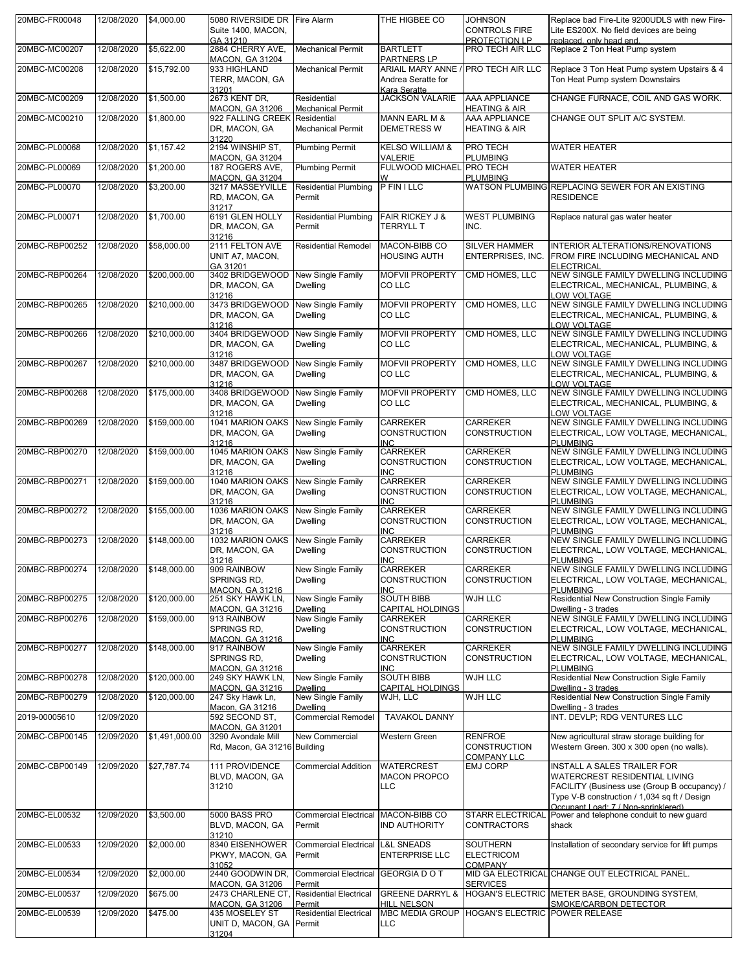| 20MBC-FR00048  | 12/08/2020 | \$4,000.00     | 5080 RIVERSIDE DR Fire Alarm                                       |                                               | THE HIGBEE CO                                          | <b>JOHNSON</b>                                              | Replace bad Fire-Lite 9200UDLS with new Fire-                                                                                                                                                       |
|----------------|------------|----------------|--------------------------------------------------------------------|-----------------------------------------------|--------------------------------------------------------|-------------------------------------------------------------|-----------------------------------------------------------------------------------------------------------------------------------------------------------------------------------------------------|
|                |            |                | Suite 1400, MACON,<br>GA 31210                                     |                                               |                                                        | <b>CONTROLS FIRE</b><br>PROTECTION LP                       | Lite ES200X. No field devices are being<br>replaced, only head end.                                                                                                                                 |
| 20MBC-MC00207  | 12/08/2020 | \$5,622.00     | 2884 CHERRY AVE,                                                   | <b>Mechanical Permit</b>                      | <b>BARTLETT</b>                                        | PRO TECH AIR LLC                                            | Replace 2 Ton Heat Pump system                                                                                                                                                                      |
| 20MBC-MC00208  | 12/08/2020 | \$15,792.00    | <b>MACON, GA 31204</b><br>933 HIGHLAND                             | <b>Mechanical Permit</b>                      | PARTNERS LP<br><b>ARIAIL MARY ANNE</b>                 | <b>PRO TECH AIR LLC</b>                                     | Replace 3 Ton Heat Pump system Upstairs & 4                                                                                                                                                         |
|                |            |                | TERR, MACON, GA<br>31201                                           |                                               | Andrea Seratte for<br>Kara Seratte                     |                                                             | Ton Heat Pump system Downstairs                                                                                                                                                                     |
| 20MBC-MC00209  | 12/08/2020 | \$1,500.00     | 2673 KENT DR,<br><b>MACON, GA 31206</b>                            | Residential<br><b>Mechanical Permit</b>       | <b>JACKSON VALARIE</b>                                 | AAA APPLIANCE<br><b>HEATING &amp; AIR</b>                   | CHANGE FURNACE, COIL AND GAS WORK.                                                                                                                                                                  |
| 20MBC-MC00210  | 12/08/2020 | \$1,800.00     | 922 FALLING CREEK Residential<br>DR, MACON, GA                     | <b>Mechanical Permit</b>                      | <b>MANN EARL M &amp;</b><br><b>DEMETRESS W</b>         | AAA APPLIANCE<br><b>HEATING &amp; AIR</b>                   | CHANGE OUT SPLIT A/C SYSTEM.                                                                                                                                                                        |
| 20MBC-PL00068  | 12/08/2020 | \$1,157.42     | 31220<br>2194 WINSHIP ST,                                          | <b>Plumbing Permit</b>                        | <b>KELSO WILLIAM &amp;</b>                             | PRO TECH                                                    | <b>WATER HEATER</b>                                                                                                                                                                                 |
|                |            |                | <b>MACON, GA 31204</b>                                             |                                               | <b>VALERIE</b>                                         | <b>PLUMBING</b>                                             |                                                                                                                                                                                                     |
| 20MBC-PL00069  | 12/08/2020 | \$1,200.00     | 187 ROGERS AVE,<br><b>MACON, GA 31204</b>                          | <b>Plumbing Permit</b>                        | FULWOOD MICHAEL<br>w                                   | <b>PRO TECH</b><br><b>PLUMBING</b>                          | <b>WATER HEATER</b>                                                                                                                                                                                 |
| 20MBC-PL00070  | 12/08/2020 | \$3,200.00     | 3217 MASSEYVILLE<br>RD, MACON, GA                                  | <b>Residential Plumbing</b><br>Permit         | P FIN I LLC                                            |                                                             | WATSON PLUMBING REPLACING SEWER FOR AN EXISTING<br><b>RESIDENCE</b>                                                                                                                                 |
| 20MBC-PL00071  | 12/08/2020 | \$1,700.00     | 31217<br>6191 GLEN HOLLY<br>DR, MACON, GA<br>31216                 | <b>Residential Plumbing</b><br>Permit         | <b>FAIR RICKEY J &amp;</b><br><b>TERRYLL T</b>         | <b>WEST PLUMBING</b><br>INC.                                | Replace natural gas water heater                                                                                                                                                                    |
| 20MBC-RBP00252 | 12/08/2020 | \$58,000.00    | 2111 FELTON AVE<br>UNIT A7, MACON,                                 | <b>Residential Remodel</b>                    | MACON-BIBB CO<br><b>HOUSING AUTH</b>                   | <b>SILVER HAMMER</b><br>ENTERPRISES, INC.                   | INTERIOR ALTERATIONS/RENOVATIONS<br>FROM FIRE INCLUDING MECHANICAL AND                                                                                                                              |
| 20MBC-RBP00264 | 12/08/2020 | \$200,000.00   | GA 31201<br>3402 BRIDGEWOOD                                        | New Single Family                             | <b>MOFVII PROPERTY</b>                                 | CMD HOMES, LLC                                              | <b>ELECTRICAL</b><br>NEW SINGLE FAMILY DWELLING INCLUDING                                                                                                                                           |
|                |            |                | DR, MACON, GA<br>31216                                             | <b>Dwelling</b>                               | CO LLC                                                 |                                                             | ELECTRICAL, MECHANICAL, PLUMBING, &<br>LOW VOLTAGE                                                                                                                                                  |
| 20MBC-RBP00265 | 12/08/2020 | \$210,000.00   | 3473 BRIDGEWOOD<br>DR, MACON, GA<br>31216                          | New Single Family<br><b>Dwelling</b>          | <b>MOFVII PROPERTY</b><br>CO LLC                       | CMD HOMES, LLC                                              | NEW SINGLE FAMILY DWELLING INCLUDING<br>ELECTRICAL, MECHANICAL, PLUMBING, &<br>LOW VOLTAGE                                                                                                          |
| 20MBC-RBP00266 | 12/08/2020 | \$210,000.00   | 3404 BRIDGEWOOD<br>DR, MACON, GA<br>31216                          | New Single Family<br><b>Dwelling</b>          | <b>MOFVII PROPERTY</b><br>CO LLC                       | CMD HOMES, LLC                                              | NEW SINGLE FAMILY DWELLING INCLUDING<br>ELECTRICAL, MECHANICAL, PLUMBING, &<br>LOW VOLTAGE                                                                                                          |
| 20MBC-RBP00267 | 12/08/2020 | \$210,000.00   | 3487 BRIDGEWOOD<br>DR, MACON, GA<br>31216                          | New Single Family<br><b>Dwelling</b>          | <b>MOFVII PROPERTY</b><br>CO LLC                       | CMD HOMES, LLC                                              | NEW SINGLE FAMILY DWELLING INCLUDING<br>ELECTRICAL, MECHANICAL, PLUMBING, &<br>LOW VOLTAGE                                                                                                          |
| 20MBC-RBP00268 | 12/08/2020 | \$175,000.00   | 3408 BRIDGEWOOD<br>DR, MACON, GA<br>31216                          | New Single Family<br><b>Dwelling</b>          | <b>MOFVII PROPERTY</b><br>CO LLC                       | CMD HOMES, LLC                                              | NEW SINGLE FAMILY DWELLING INCLUDING<br>ELECTRICAL, MECHANICAL, PLUMBING, &                                                                                                                         |
| 20MBC-RBP00269 | 12/08/2020 | \$159,000.00   | 1041 MARION OAKS<br>DR, MACON, GA                                  | New Single Family<br><b>Dwelling</b>          | <b>CARREKER</b><br><b>CONSTRUCTION</b>                 | <b>CARREKER</b><br><b>CONSTRUCTION</b>                      | LOW VOLTAGE<br>NEW SINGLE FAMILY DWELLING INCLUDING<br>ELECTRICAL, LOW VOLTAGE, MECHANICAL,                                                                                                         |
| 20MBC-RBP00270 | 12/08/2020 | \$159,000.00   | 31216<br>1045 MARION OAKS<br>DR, MACON, GA                         | New Single Family<br><b>Dwelling</b>          | <b>INC</b><br><b>CARREKER</b><br><b>CONSTRUCTION</b>   | <b>CARREKER</b><br>CONSTRUCTION                             | <b>PLUMBING</b><br>NEW SINGLE FAMILY DWELLING INCLUDING<br>ELECTRICAL, LOW VOLTAGE, MECHANICAL,                                                                                                     |
| 20MBC-RBP00271 | 12/08/2020 | \$159,000.00   | 31216<br>1040 MARION OAKS<br>DR, MACON, GA                         | New Single Family<br><b>Dwelling</b>          | <b>INC</b><br><b>CARREKER</b><br><b>CONSTRUCTION</b>   | <b>CARREKER</b><br>CONSTRUCTION                             | <b>PLUMBING</b><br>NEW SINGLE FAMILY DWELLING INCLUDING<br>ELECTRICAL, LOW VOLTAGE, MECHANICAL,                                                                                                     |
| 20MBC-RBP00272 | 12/08/2020 | \$155,000.00   | 31216<br>1036 MARION OAKS<br>DR, MACON, GA                         | New Single Family<br><b>Dwelling</b>          | <b>INC</b><br><b>CARREKER</b><br><b>CONSTRUCTION</b>   | <b>CARREKER</b><br><b>CONSTRUCTION</b>                      | <b>PLUMBING</b><br>NEW SINGLE FAMILY DWELLING INCLUDING<br>ELECTRICAL, LOW VOLTAGE, MECHANICAL,                                                                                                     |
| 20MBC-RBP00273 | 12/08/2020 | \$148,000.00   | 31216<br>1032 MARION OAKS<br>DR, MACON, GA                         | New Single Family<br><b>Dwelling</b>          | <b>INC</b><br><b>CARREKER</b><br><b>CONSTRUCTION</b>   | <b>CARREKER</b><br>CONSTRUCTION                             | <b>PLUMBING</b><br>NEW SINGLE FAMILY DWELLING INCLUDING<br>ELECTRICAL, LOW VOLTAGE, MECHANICAL,                                                                                                     |
| 20MBC-RBP00274 | 12/08/2020 | \$148,000.00   | 31216<br>909 RAINBOW<br>SPRINGS RD.                                | New Single Family<br><b>Dwelling</b>          | <b>INC</b><br><b>CARREKER</b><br><b>CONSTRUCTION</b>   | <b>CARREKER</b><br><b>CONSTRUCTION</b>                      | <b>PLUMBING</b><br>NEW SINGLE FAMILY DWELLING INCLUDING<br>ELECTRICAL, LOW VOLTAGE, MECHANICAL,                                                                                                     |
|                |            |                | MACON, GA 31216                                                    |                                               | <b>INC</b>                                             |                                                             | <b>PLUMBING</b>                                                                                                                                                                                     |
| 20MBC-RBP00275 | 12/08/2020 | \$120,000.00   | 251 SKY HAWK LN,<br><b>MACON, GA 31216</b>                         | New Single Family<br><b>Dwelling</b>          | <b>SOUTH BIBB</b><br><b>CAPITAL HOLDINGS</b>           | WJH LLC                                                     | Residential New Construction Single Family<br>Dwelling - 3 trades                                                                                                                                   |
| 20MBC-RBP00276 | 12/08/2020 | \$159,000.00   | 913 RAINBOW<br>SPRINGS RD,                                         | New Single Family<br><b>Dwelling</b>          | <b>CARREKER</b><br><b>CONSTRUCTION</b>                 | <b>CARREKER</b><br>CONSTRUCTION                             | NEW SINGLE FAMILY DWELLING INCLUDING<br>ELECTRICAL, LOW VOLTAGE, MECHANICAL,                                                                                                                        |
| 20MBC-RBP00277 | 12/08/2020 | \$148,000.00   | <b>MACON, GA 31216</b><br>917 RAINBOW                              | New Single Family                             | <b>INC</b><br><b>CARREKER</b>                          | <b>CARREKER</b>                                             | <b>PLUMBING</b><br>NEW SINGLE FAMILY DWELLING INCLUDING                                                                                                                                             |
|                |            |                | SPRINGS RD,<br><b>MACON, GA 31216</b>                              | <b>Dwelling</b>                               | <b>CONSTRUCTION</b><br><b>INC</b>                      | CONSTRUCTION                                                | ELECTRICAL, LOW VOLTAGE, MECHANICAL,<br><b>PLUMBING</b>                                                                                                                                             |
| 20MBC-RBP00278 | 12/08/2020 | \$120,000.00   | 249 SKY HAWK LN,<br><b>MACON, GA 31216</b>                         | New Single Family<br><b>Dwelling</b>          | <b>SOUTH BIBB</b><br><b>CAPITAL HOLDINGS</b>           | WJH LLC                                                     | <b>Residential New Construction Sigle Family</b><br>Dwelling - 3 trades                                                                                                                             |
| 20MBC-RBP00279 | 12/08/2020 | \$120,000.00   | 247 Sky Hawk Ln,<br>Macon, GA 31216                                | New Single Family<br><b>Dwelling</b>          | WJH, LLC                                               | WJH LLC                                                     | Residential New Construction Single Family<br>Dwelling - 3 trades                                                                                                                                   |
| 2019-00005610  | 12/09/2020 |                | 592 SECOND ST,<br><b>MACON, GA 31201</b>                           | <b>Commercial Remodel</b>                     | <b>TAVAKOL DANNY</b>                                   |                                                             | INT. DEVLP; RDG VENTURES LLC                                                                                                                                                                        |
| 20MBC-CBP00145 | 12/09/2020 | \$1,491,000.00 | 3290 Avondale Mill<br>Rd, Macon, GA 31216 Building                 | <b>New Commercial</b>                         | Western Green                                          | <b>RENFROE</b><br><b>CONSTRUCTION</b><br><b>COMPANY LLC</b> | New agricultural straw storage building for<br>Western Green. 300 x 300 open (no walls).                                                                                                            |
| 20MBC-CBP00149 | 12/09/2020 | \$27,787.74    | 111 PROVIDENCE<br>BLVD, MACON, GA<br>31210                         | <b>Commercial Addition</b>                    | <b>WATERCREST</b><br><b>MACON PROPCO</b><br><b>LLC</b> | <b>EMJ CORP</b>                                             | INSTALL A SALES TRAILER FOR<br>WATERCREST RESIDENTIAL LIVING<br>FACILITY (Business use (Group B occupancy) /<br>Type V-B construction / 1,034 sq ft / Design<br>Occupant Load: 7 / Non-sprinklered) |
| 20MBC-EL00532  | 12/09/2020 | \$3,500.00     | 5000 BASS PRO<br>BLVD, MACON, GA<br>31210                          | Commercial Electrical MACON-BIBB CO<br>Permit | <b>IND AUTHORITY</b>                                   | <b>STARR ELECTRICAL</b><br>CONTRACTORS                      | Power and telephone conduit to new guard<br>shack                                                                                                                                                   |
| 20MBC-EL00533  | 12/09/2020 | \$2,000.00     | 8340 EISENHOWER<br>PKWY, MACON, GA                                 | Commercial Electrical L&L SNEADS<br>Permit    | <b>ENTERPRISE LLC</b>                                  | SOUTHERN<br><b>ELECTRICOM</b>                               | Installation of secondary service for lift pumps                                                                                                                                                    |
| 20MBC-EL00534  | 12/09/2020 | \$2,000.00     | 31052<br>2440 GOODWIN DR,                                          | Commercial Electrical GEORGIA DO T            |                                                        | <b>COMPANY</b>                                              | MID GA ELECTRICAL CHANGE OUT ELECTRICAL PANEL.                                                                                                                                                      |
| 20MBC-EL00537  | 12/09/2020 | \$675.00       | <b>MACON, GA 31206</b><br>2473 CHARLENE CT, Residential Electrical | Permit                                        | <b>GREENE DARRYL &amp;</b>                             | <b>SERVICES</b>                                             | HOGAN'S ELECTRIC METER BASE, GROUNDING SYSTEM,                                                                                                                                                      |
|                |            |                | <b>MACON, GA 31206</b>                                             | Permit                                        | HILL NELSON<br><b>MBC MEDIA GROUP</b>                  |                                                             | SMOKE/CARBON DETECTOR                                                                                                                                                                               |
| 20MBC-EL00539  | 12/09/2020 | \$475.00       | 435 MOSELEY ST<br>UNIT D, MACON, GA Permit<br>31204                | <b>Residential Electrical</b>                 | <b>LLC</b>                                             | HOGAN'S ELECTRIC POWER RELEASE                              |                                                                                                                                                                                                     |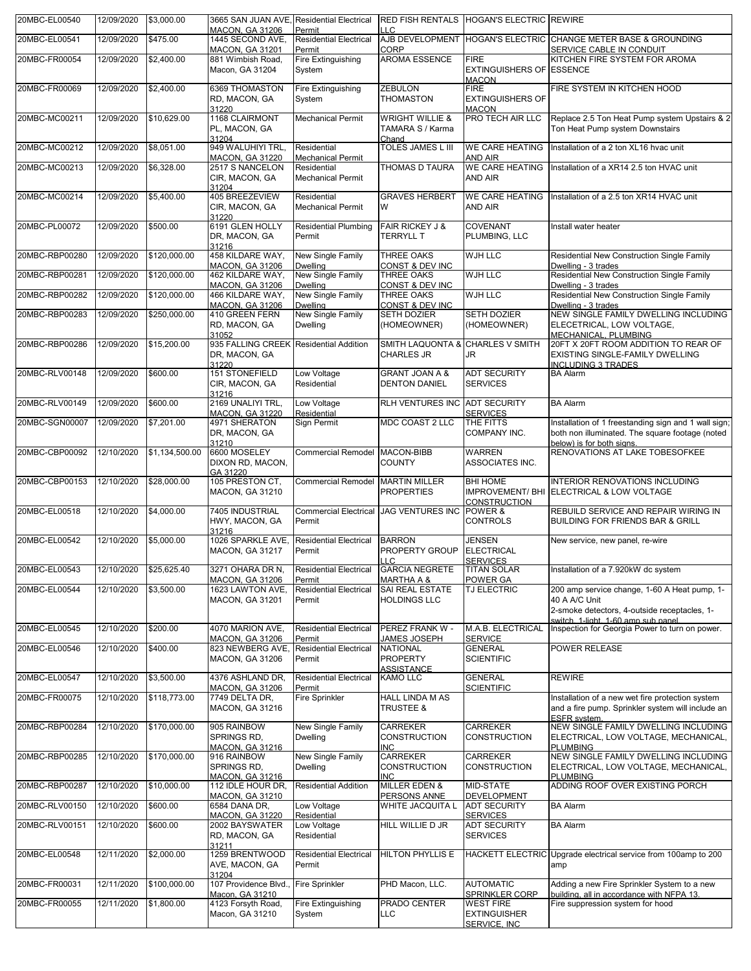| 20MBC-EL00540  | 12/09/2020 | \$3,000.00     | 3665 SAN JUAN AVE, Residential Electrical<br><b>MACON, GA 31206</b> | Permit                                            | LLC.                                                    | RED FISH RENTALS HOGAN'S ELECTRIC REWIRE                       |                                                                                                                                      |
|----------------|------------|----------------|---------------------------------------------------------------------|---------------------------------------------------|---------------------------------------------------------|----------------------------------------------------------------|--------------------------------------------------------------------------------------------------------------------------------------|
| 20MBC-EL00541  | 12/09/2020 | \$475.00       | 1445 SECOND AVE,<br>MACON, GA 31201                                 | <b>Residential Electrical</b><br>Permit           | AJB DEVELOPMENT<br>CORP                                 |                                                                | HOGAN'S ELECTRIC CHANGE METER BASE & GROUNDING<br>SERVICE CABLE IN CONDUIT                                                           |
| 20MBC-FR00054  | 12/09/2020 | \$2,400.00     | 881 Wimbish Road,<br>Macon, GA 31204                                | Fire Extinguishing<br>System                      | <b>AROMA ESSENCE</b>                                    | <b>FIRE</b><br><b>EXTINGUISHERS OF ESSENCE</b><br><b>MACON</b> | KITCHEN FIRE SYSTEM FOR AROMA                                                                                                        |
| 20MBC-FR00069  | 12/09/2020 | \$2,400.00     | 6369 THOMASTON<br>RD, MACON, GA<br>31220                            | Fire Extinguishing<br>System                      | <b>ZEBULON</b><br>THOMASTON                             | <b>FIRE</b><br><b>EXTINGUISHERS OF</b><br><b>MACON</b>         | FIRE SYSTEM IN KITCHEN HOOD                                                                                                          |
| 20MBC-MC00211  | 12/09/2020 | \$10,629.00    | 1168 CLAIRMONT<br>PL, MACON, GA<br>31204                            | <b>Mechanical Permit</b>                          | <b>WRIGHT WILLIE &amp;</b><br>TAMARA S / Karma<br>Chand | PRO TECH AIR LLC                                               | Replace 2.5 Ton Heat Pump system Upstairs & 2<br>Ton Heat Pump system Downstairs                                                     |
| 20MBC-MC00212  | 12/09/2020 | \$8,051.00     | 949 WALUHIYI TRL,<br>MACON, GA 31220                                | Residential<br><b>Mechanical Permit</b>           | TOLES JAMES L III                                       | <b>WE CARE HEATING</b><br><b>AND AIR</b>                       | Installation of a 2 ton XL16 hvac unit                                                                                               |
| 20MBC-MC00213  | 12/09/2020 | \$6,328.00     | 2517 S NANCELON<br>CIR, MACON, GA<br>31204                          | Residential<br><b>Mechanical Permit</b>           | THOMAS D TAURA                                          | <b>WE CARE HEATING</b><br>AND AIR                              | Installation of a XR14 2.5 ton HVAC unit                                                                                             |
| 20MBC-MC00214  | 12/09/2020 | \$5,400.00     | 405 BREEZEVIEW<br>CIR, MACON, GA<br>31220                           | Residential<br><b>Mechanical Permit</b>           | <b>GRAVES HERBERT</b><br>W                              | <b>WE CARE HEATING</b><br>AND AIR                              | Installation of a 2.5 ton XR14 HVAC unit                                                                                             |
| 20MBC-PL00072  | 12/09/2020 | \$500.00       | 6191 GLEN HOLLY<br>DR, MACON, GA<br>31216                           | <b>Residential Plumbing</b><br>Permit             | <b>FAIR RICKEY J &amp;</b><br><b>TERRYLL T</b>          | COVENANT<br>PLUMBING, LLC                                      | Install water heater                                                                                                                 |
| 20MBC-RBP00280 | 12/09/2020 | \$120,000.00   | 458 KILDARE WAY,<br>MACON, GA 31206                                 | <b>New Single Family</b><br><b>Dwelling</b>       | THREE OAKS<br>CONST & DEV INC                           | <b>WJH LLC</b>                                                 | Residential New Construction Single Family<br>Dwelling - 3 trades                                                                    |
| 20MBC-RBP00281 | 12/09/2020 | \$120,000.00   | 462 KILDARE WAY,<br>MACON, GA 31206                                 | New Single Family<br><b>Dwelling</b>              | THREE OAKS<br>CONST & DEV INC                           | <b>WJH LLC</b>                                                 | Residential New Construction Single Family<br>Dwelling - 3 trades                                                                    |
| 20MBC-RBP00282 | 12/09/2020 | \$120,000.00   | 466 KILDARE WAY,<br>MACON, GA 31206                                 | New Single Family<br><b>Dwelling</b>              | THREE OAKS<br>CONST & DEV INC                           | <b>WJH LLC</b>                                                 | Residential New Construction Single Family<br>Dwelling - 3 trades                                                                    |
| 20MBC-RBP00283 | 12/09/2020 | \$250,000.00   | 410 GREEN FERN<br>RD, MACON, GA<br>31052                            | New Single Family<br><b>Dwelling</b>              | <b>SETH DOZIER</b><br>(HOMEOWNER)                       | <b>SETH DOZIER</b><br>(HOMEOWNER)                              | NEW SINGLE FAMILY DWELLING INCLUDING<br>ELECETRICAL, LOW VOLTAGE,<br>MECHANICAL, PLUMBING                                            |
| 20MBC-RBP00286 | 12/09/2020 | \$15,200.00    | 935 FALLING CREEK Residential Addition<br>DR, MACON, GA<br>31220    |                                                   | SMITH LAQUONTA & CHARLES V SMITH<br><b>CHARLES JR</b>   | JR                                                             | 20FT X 20FT ROOM ADDITION TO REAR OF<br>EXISTING SINGLE-FAMILY DWELLING<br><b>INCLUDING 3 TRADES</b>                                 |
| 20MBC-RLV00148 | 12/09/2020 | \$600.00       | 151 STONEFIELD<br>CIR, MACON, GA<br>31216                           | Low Voltage<br>Residential                        | <b>GRANT JOAN A &amp;</b><br><b>DENTON DANIEL</b>       | <b>ADT SECURITY</b><br><b>SERVICES</b>                         | <b>BA Alarm</b>                                                                                                                      |
| 20MBC-RLV00149 | 12/09/2020 | \$600.00       | 2169 UNALIYI TRL,<br>MACON, GA 31220                                | Low Voltage<br>Residential                        | <b>RLH VENTURES INC</b>                                 | <b>ADT SECURITY</b><br><b>SERVICES</b>                         | <b>BA Alarm</b>                                                                                                                      |
| 20MBC-SGN00007 | 12/09/2020 | \$7,201.00     | 4971 SHERATON<br>DR, MACON, GA<br>31210                             | Sign Permit                                       | MDC COAST 2 LLC                                         | THE FITTS<br>COMPANY INC.                                      | Installation of 1 freestanding sign and 1 wall sign;<br>both non illuminated. The square footage (noted<br>below) is for both signs. |
| 20MBC-CBP00092 | 12/10/2020 | \$1,134,500.00 | 6600 MOSELEY<br>DIXON RD, MACON,<br>GA 31220                        | <b>Commercial Remodel</b>                         | MACON-BIBB<br><b>COUNTY</b>                             | <b>WARREN</b><br>ASSOCIATES INC.                               | RENOVATIONS AT LAKE TOBESOFKEE                                                                                                       |
| 20MBC-CBP00153 | 12/10/2020 | \$28,000.00    | 105 PRESTON CT,<br>MACON, GA 31210                                  | <b>Commercial Remodel</b>                         | <b>MARTIN MILLER</b><br><b>PROPERTIES</b>               | <b>BHI HOME</b><br><b>CONSTRUCTION</b>                         | INTERIOR RENOVATIONS INCLUDING<br>IMPROVEMENT/ BHI ELECTRICAL & LOW VOLTAGE                                                          |
| 20MBC-EL00518  | 12/10/2020 | \$4,000.00     | 7405 INDUSTRIAL<br>HWY, MACON, GA<br>31216                          | <b>Commercial Electrical</b><br>Permit            | <b>JAG VENTURES INC</b>                                 | POWER &<br><b>CONTROLS</b>                                     | REBUILD SERVICE AND REPAIR WIRING IN<br>BUILDING FOR FRIENDS BAR & GRILL                                                             |
| 20MBC-EL00542  | 12/10/2020 | \$5,000.00     | 1026 SPARKLE AVE.<br><b>MACON, GA 31217</b>                         | <b>Residential Electrical</b><br>Permit           | <b>BARRON</b><br>PROPERTY GROUP<br><b>LLC</b>           | <b>JENSEN</b><br><b>ELECTRICAL</b><br><b>SERVICES</b>          | New service, new panel, re-wire                                                                                                      |
| 20MBC-EL00543  | 12/10/2020 | \$25,625.40    | 3271 OHARA DR N,<br><b>MACON, GA 31206</b>                          | <b>Residential Electrical</b><br>Permit           | <b>GARCIA NEGRETE</b><br><b>MARTHA A &amp;</b>          | <b>TITAN SOLAR</b><br>POWER GA                                 | Installation of a 7.920kW dc system                                                                                                  |
| 20MBC-EL00544  | 12/10/2020 | \$3,500.00     | 1623 LAWTON AVE,<br>MACON, GA 31201                                 | <b>Residential Electrical</b><br>Permit           | SAI REAL ESTATE<br><b>HOLDINGS LLC</b>                  | TJ ELECTRIC                                                    | 200 amp service change, 1-60 A Heat pump, 1-<br>40 A A/C Unit<br>2-smoke detectors, 4-outside receptacles, 1-                        |
| 20MBC-EL00545  | 12/10/2020 | \$200.00       | 4070 MARION AVE.                                                    | <b>Residential Electrical</b>                     | PEREZ FRANK W -                                         | M.A.B. ELECTRICAL                                              | switch. 1-light. 1-60 amp sub panel.<br>Inspection for Georgia Power to turn on power.                                               |
| 20MBC-EL00546  | 12/10/2020 | \$400.00       | <b>MACON, GA 31206</b><br>823 NEWBERG AVE,<br>MACON, GA 31206       | Permit<br><b>Residential Electrical</b><br>Permit | JAMES JOSEPH<br><b>NATIONAL</b><br><b>PROPERTY</b>      | <b>SERVICE</b><br><b>GENERAL</b><br><b>SCIENTIFIC</b>          | POWER RELEASE                                                                                                                        |
| 20MBC-EL00547  | 12/10/2020 | \$3,500.00     | 4376 ASHLAND DR,<br>MACON, GA 31206                                 | <b>Residential Electrical</b><br>Permit           | <b>ASSISTANCE</b><br><b>KAMO LLC</b>                    | <b>GENERAL</b><br><b>SCIENTIFIC</b>                            | <b>REWIRE</b>                                                                                                                        |
| 20MBC-FR00075  | 12/10/2020 | \$118,773.00   | 7749 DELTA DR,<br>MACON, GA 31216                                   | Fire Sprinkler                                    | <b>HALL LINDA M AS</b><br><b>TRUSTEE &amp;</b>          |                                                                | Installation of a new wet fire protection system<br>and a fire pump. Sprinkler system will include an<br>ESFR system.                |
| 20MBC-RBP00284 | 12/10/2020 | \$170,000.00   | 905 RAINBOW<br>SPRINGS RD,<br><b>MACON, GA 31216</b>                | New Single Family<br><b>Dwelling</b>              | CARREKER<br><b>CONSTRUCTION</b><br><b>INC</b>           | <b>CARREKER</b><br><b>CONSTRUCTION</b>                         | NEW SINGLE FAMILY DWELLING INCLUDING<br>ELECTRICAL, LOW VOLTAGE, MECHANICAL,<br><b>PLUMBING</b>                                      |
| 20MBC-RBP00285 | 12/10/2020 | \$170,000.00   | 916 RAINBOW<br>SPRINGS RD,<br><b>MACON, GA 31216</b>                | New Single Family<br><b>Dwelling</b>              | CARREKER<br><b>CONSTRUCTION</b><br><b>INC</b>           | CARREKER<br>CONSTRUCTION                                       | NEW SINGLE FAMILY DWELLING INCLUDING<br>ELECTRICAL, LOW VOLTAGE, MECHANICAL,<br><b>PLUMBING</b>                                      |
| 20MBC-RBP00287 | 12/10/2020 | \$10,000.00    | 112 IDLE HOUR DR,<br>MACON, GA 31210                                | <b>Residential Addition</b>                       | <b>MILLER EDEN &amp;</b><br>PERSONS ANNE                | MID-STATE<br><b>DEVELOPMENT</b>                                | ADDING ROOF OVER EXISTING PORCH                                                                                                      |
| 20MBC-RLV00150 | 12/10/2020 | \$600.00       | 6584 DANA DR,<br><b>MACON, GA 31220</b>                             | Low Voltage<br>Residential                        | WHITE JACQUITA L                                        | <b>ADT SECURITY</b><br><b>SERVICES</b>                         | <b>BA Alarm</b>                                                                                                                      |
| 20MBC-RLV00151 | 12/10/2020 | \$600.00       | 2002 BAYSWATER<br>RD, MACON, GA                                     | Low Voltage<br>Residential                        | HILL WILLIE D JR                                        | ADT SECURITY<br><b>SERVICES</b>                                | <b>BA Alarm</b>                                                                                                                      |
| 20MBC-EL00548  | 12/11/2020 | \$2,000.00     | 31211<br>1259 BRENTWOOD<br>AVE, MACON, GA<br>31204                  | <b>Residential Electrical</b><br>Permit           | <b>HILTON PHYLLIS E</b>                                 |                                                                | HACKETT ELECTRIC Upgrade electrical service from 100amp to 200<br>amp                                                                |
| 20MBC-FR00031  | 12/11/2020 | \$100,000.00   | 107 Providence Blvd.,                                               | <b>Fire Sprinkler</b>                             | PHD Macon, LLC.                                         | <b>AUTOMATIC</b>                                               | Adding a new Fire Sprinkler System to a new                                                                                          |
| 20MBC-FR00055  | 12/11/2020 | \$1,800.00     | Macon, GA 31210<br>4123 Forsyth Road,<br>Macon, GA 31210            | Fire Extinguishing<br>System                      | PRADO CENTER<br><b>LLC</b>                              | SPRINKLER CORP<br><b>WEST FIRE</b><br><b>EXTINGUISHER</b>      | building, all in accordance with NFPA 13.<br>Fire suppression system for hood                                                        |
|                |            |                |                                                                     |                                                   |                                                         | SERVICE, INC.                                                  |                                                                                                                                      |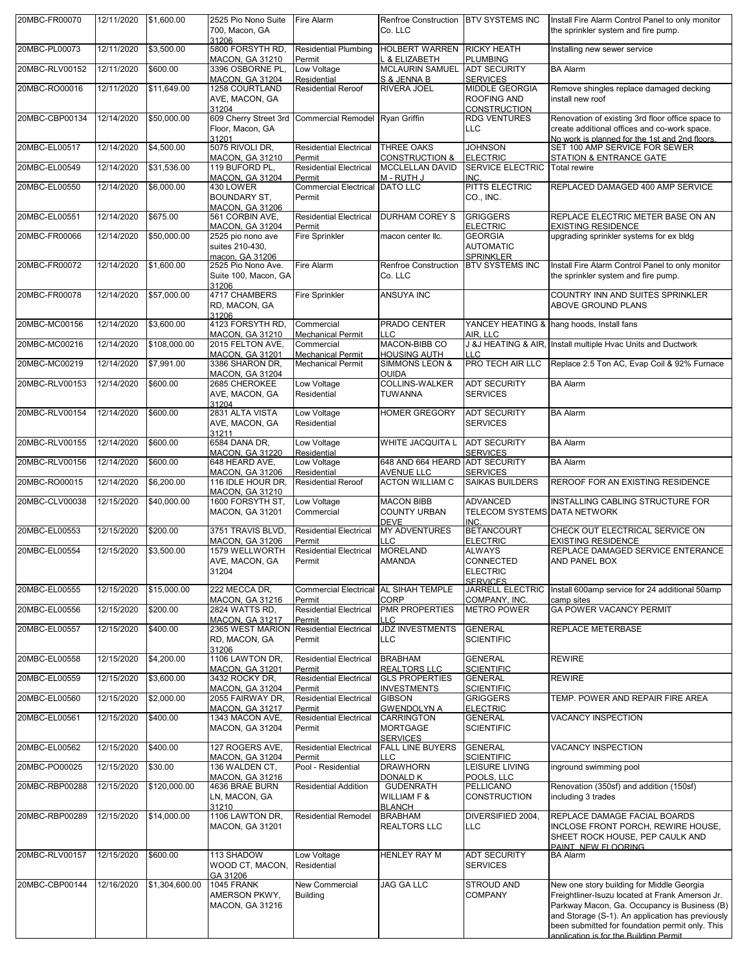| 20MBC-FR00070  | 12/11/2020 | \$1,600.00     | 2525 Pio Nono Suite<br>700, Macon, GA<br>31206                    | Fire Alarm                                            | Renfroe Construction   BTV SYSTEMS INC<br>Co. LLC       |                                                               | Install Fire Alarm Control Panel to only monitor<br>the sprinkler system and fire pump.                                                                                                                                                                                                       |
|----------------|------------|----------------|-------------------------------------------------------------------|-------------------------------------------------------|---------------------------------------------------------|---------------------------------------------------------------|-----------------------------------------------------------------------------------------------------------------------------------------------------------------------------------------------------------------------------------------------------------------------------------------------|
| 20MBC-PL00073  | 12/11/2020 | \$3,500.00     | 5800 FORSYTH RD,<br>MACON, GA 31210                               | <b>Residential Plumbing</b><br>Permit                 | <b>HOLBERT WARREN RICKY HEATH</b><br>L & ELIZABETH      | <b>PLUMBING</b>                                               | Installing new sewer service                                                                                                                                                                                                                                                                  |
| 20MBC-RLV00152 | 12/11/2020 | \$600.00       | 3396 OSBORNE PL,<br><b>MACON, GA 31204</b>                        | Low Voltage<br>Residential                            | <b>MCLAURIN SAMUEL</b><br>S & JENNA B                   | <b>ADT SECURITY</b><br><b>SERVICES</b>                        | <b>BA Alarm</b>                                                                                                                                                                                                                                                                               |
| 20MBC-RO00016  | 12/11/2020 | \$11,649.00    | 1258 COURTLAND<br>AVE, MACON, GA                                  | <b>Residential Reroof</b>                             | <b>RIVERA JOEL</b>                                      | <b>MIDDLE GEORGIA</b><br><b>ROOFING AND</b>                   | Remove shingles replace damaged decking<br>install new roof                                                                                                                                                                                                                                   |
| 20MBC-CBP00134 | 12/14/2020 |                | 31204                                                             | 609 Cherry Street 3rd Commercial Remodel Ryan Griffin |                                                         | <b>CONSTRUCTION</b><br><b>RDG VENTURES</b>                    |                                                                                                                                                                                                                                                                                               |
|                |            | \$50,000.00    | Floor, Macon, GA                                                  |                                                       |                                                         | <b>LLC</b>                                                    | Renovation of existing 3rd floor office space to<br>create additional offices and co-work space.                                                                                                                                                                                              |
| 20MBC-EL00517  | 12/14/2020 | \$4,500.00     | 31201<br>5075 RIVOLI DR,                                          | <b>Residential Electrical</b>                         | THREE OAKS                                              | <b>JOHNSON</b>                                                | No work is planned for the 1st and 2nd floors.<br>SET 100 AMP SERVICE FOR SEWER                                                                                                                                                                                                               |
| 20MBC-EL00549  | 12/14/2020 | \$31,536.00    | MACON, GA 31210<br>119 BUFORD PL.                                 | Permit<br><b>Residential Electrical</b>               | <b>CONSTRUCTION &amp;</b><br><b>MCCLELLAN DAVID</b>     | <b>ELECTRIC</b><br><b>SERVICE ELECTRIC</b>                    | STATION & ENTRANCE GATE<br><b>Total rewire</b>                                                                                                                                                                                                                                                |
| 20MBC-EL00550  | 12/14/2020 | \$6,000.00     | <b>MACON, GA 31204</b><br>430 LOWER                               | Permit<br>Commercial Electrical DATO LLC              | M - RUTH J                                              | INC.<br>PITTS ELECTRIC                                        | REPLACED DAMAGED 400 AMP SERVICE                                                                                                                                                                                                                                                              |
|                |            |                | <b>BOUNDARY ST.</b><br><b>MACON, GA 31206</b>                     | Permit                                                |                                                         | CO., INC.                                                     |                                                                                                                                                                                                                                                                                               |
| 20MBC-EL00551  | 12/14/2020 | \$675.00       | 561 CORBIN AVE,<br><b>MACON, GA 31204</b>                         | <b>Residential Electrical</b><br>Permit               | <b>DURHAM COREY S</b>                                   | <b>GRIGGERS</b><br><b>ELECTRIC</b>                            | REPLACE ELECTRIC METER BASE ON AN<br><b>EXISTING RESIDENCE</b>                                                                                                                                                                                                                                |
| 20MBC-FR00066  | 12/14/2020 | \$50,000.00    | 2525 pio nono ave<br>suites 210-430,                              | <b>Fire Sprinkler</b>                                 | macon center llc.                                       | <b>GEORGIA</b><br><b>AUTOMATIC</b>                            | upgrading sprinkler systems for ex bldg                                                                                                                                                                                                                                                       |
| 20MBC-FR00072  | 12/14/2020 | \$1,600.00     | macon, GA 31206<br>2525 Pio Nono Ave.                             | Fire Alarm                                            | Renfroe Construction                                    | <b>SPRINKLER</b><br><b>BTV SYSTEMS INC</b>                    | Install Fire Alarm Control Panel to only monitor                                                                                                                                                                                                                                              |
|                |            |                | Suite 100, Macon, GA<br>31206                                     |                                                       | Co. LLC                                                 |                                                               | the sprinkler system and fire pump.                                                                                                                                                                                                                                                           |
| 20MBC-FR00078  | 12/14/2020 | \$57,000.00    | 4717 CHAMBERS<br>RD, MACON, GA                                    | <b>Fire Sprinkler</b>                                 | ANSUYA INC                                              |                                                               | COUNTRY INN AND SUITES SPRINKLER<br>ABOVE GROUND PLANS                                                                                                                                                                                                                                        |
| 20MBC-MC00156  | 12/14/2020 | \$3,600.00     | 31206<br>4123 FORSYTH RD,                                         | Commercial                                            | PRADO CENTER                                            |                                                               | YANCEY HEATING & hang hoods, Install fans                                                                                                                                                                                                                                                     |
| 20MBC-MC00216  | 12/14/2020 | \$108,000.00   | <b>MACON, GA 31210</b><br>2015 FELTON AVE,                        | <b>Mechanical Permit</b><br>Commercial                | <b>LLC</b><br>MACON-BIBB CO                             | AIR, LLC                                                      | J &J HEATING & AIR, Install multiple Hvac Units and Ductwork                                                                                                                                                                                                                                  |
| 20MBC-MC00219  | 12/14/2020 | \$7,991.00     | <b>MACON, GA 31201</b>                                            | <b>Mechanical Permit</b><br><b>Mechanical Permit</b>  | <b>HOUSING AUTH</b><br><b>SIMMONS LEON &amp;</b>        | LLC<br><b>PRO TECH AIR LLC</b>                                | Replace 2.5 Ton AC, Evap Coil & 92% Furnace                                                                                                                                                                                                                                                   |
|                |            |                | 3386 SHARON DR,<br><b>MACON, GA 31204</b>                         |                                                       | <b>OUIDA</b>                                            |                                                               |                                                                                                                                                                                                                                                                                               |
| 20MBC-RLV00153 | 12/14/2020 | \$600.00       | 2685 CHEROKEE<br>AVE, MACON, GA                                   | Low Voltage<br>Residential                            | <b>COLLINS-WALKER</b><br><b>TUWANNA</b>                 | <b>ADT SECURITY</b><br><b>SERVICES</b>                        | <b>BA Alarm</b>                                                                                                                                                                                                                                                                               |
| 20MBC-RLV00154 | 12/14/2020 | \$600.00       | 31204<br>2831 ALTA VISTA                                          | Low Voltage                                           | <b>HOMER GREGORY</b>                                    | <b>ADT SECURITY</b>                                           | <b>BA Alarm</b>                                                                                                                                                                                                                                                                               |
|                |            |                | AVE, MACON, GA<br>31211                                           | Residential                                           |                                                         | <b>SERVICES</b>                                               |                                                                                                                                                                                                                                                                                               |
| 20MBC-RLV00155 | 12/14/2020 | \$600.00       | 6584 DANA DR,<br><b>MACON, GA 31220</b>                           | Low Voltage<br>Residential                            | <b>WHITE JACQUITA L</b>                                 | <b>ADT SECURITY</b><br><b>SERVICES</b>                        | <b>BA Alarm</b>                                                                                                                                                                                                                                                                               |
| 20MBC-RLV00156 | 12/14/2020 | \$600.00       | 648 HEARD AVE,<br><b>MACON, GA 31206</b>                          | Low Voltage<br>Residential                            | 648 AND 664 HEARD ADT SECURITY<br><b>AVENUE LLC</b>     | <b>SERVICES</b>                                               | <b>BA Alarm</b>                                                                                                                                                                                                                                                                               |
| 20MBC-RO00015  | 12/14/2020 | \$6,200.00     | 116 IDLE HOUR DR,<br><b>MACON, GA 31210</b>                       | <b>Residential Reroof</b>                             | <b>ACTON WILLIAM C</b>                                  | <b>SAIKAS BUILDERS</b>                                        | REROOF FOR AN EXISTING RESIDENCE                                                                                                                                                                                                                                                              |
| 20MBC-CLV00038 | 12/15/2020 | \$40,000.00    | 1600 FORSYTH ST,<br><b>MACON, GA 31201</b>                        | Low Voltage<br>Commercial                             | <b>MACON BIBB</b><br><b>COUNTY URBAN</b><br><b>DEVE</b> | <b>ADVANCED</b><br>TELECOM SYSTEMS DATA NETWORK<br><b>INC</b> | INSTALLING CABLING STRUCTURE FOR                                                                                                                                                                                                                                                              |
| 20MBC-EL00553  | 12/15/2020 | \$200.00       | 3751 TRAVIS BLVD,<br>MACON, GA 31206                              | <b>Residential Electrical</b><br>Permit               | <b>MY ADVENTURES</b><br>LLC                             | <b>BETANCOURT</b><br><b>ELECTRIC</b>                          | CHECK OUT ELECTRICAL SERVICE ON<br><b>EXISTING RESIDENCE</b>                                                                                                                                                                                                                                  |
| 20MBC-EL00554  | 12/15/2020 | \$3,500.00     | 1579 WELLWORTH<br>AVE, MACON, GA                                  | <b>Residential Electrical</b><br>Permit               | <b>MORELAND</b><br><b>AMANDA</b>                        | <b>ALWAYS</b><br><b>CONNECTED</b>                             | REPLACE DAMAGED SERVICE ENTERANCE<br>AND PANEL BOX                                                                                                                                                                                                                                            |
|                |            |                | 31204                                                             |                                                       |                                                         | <b>ELECTRIC</b><br><b>SERVICES</b>                            |                                                                                                                                                                                                                                                                                               |
| 20MBC-EL00555  | 12/15/2020 | \$15,000.00    | 222 MECCA DR,                                                     | Commercial Electrical AL SIHAH TEMPLE<br>Permit       | CORP                                                    | JARRELL ELECTRIC                                              | Install 600amp service for 24 additional 50amp<br>camp sites                                                                                                                                                                                                                                  |
| 20MBC-EL00556  | 12/15/2020 | \$200.00       | <b>MACON, GA 31216</b><br>2824 WATTS RD,                          | <b>Residential Electrical</b>                         | <b>PMR PROPERTIES</b>                                   | COMPANY, INC.<br><b>METRO POWER</b>                           | GA POWER VACANCY PERMIT                                                                                                                                                                                                                                                                       |
| 20MBC-EL00557  | 12/15/2020 | \$400.00       | <b>MACON, GA 31217</b><br>2365 WEST MARION Residential Electrical | Permit                                                | <b>LLC</b><br><b>JDZ INVESTMENTS</b>                    | <b>GENERAL</b>                                                | REPLACE METERBASE                                                                                                                                                                                                                                                                             |
|                |            |                | RD, MACON, GA<br>31206                                            | Permit                                                | <b>LLC</b>                                              | <b>SCIENTIFIC</b>                                             |                                                                                                                                                                                                                                                                                               |
| 20MBC-EL00558  | 12/15/2020 | \$4,200.00     | 1106 LAWTON DR,<br>MACON, GA 31201                                | <b>Residential Electrical</b><br>Permit               | <b>BRABHAM</b><br><b>REALTORS LLC</b>                   | <b>GENERAL</b><br><b>SCIENTIFIC</b>                           | <b>REWIRE</b>                                                                                                                                                                                                                                                                                 |
| 20MBC-EL00559  | 12/15/2020 | \$3,600.00     | 3432 ROCKY DR,<br><b>MACON, GA 31204</b>                          | <b>Residential Electrical</b><br>Permit               | <b>GLS PROPERTIES</b><br><b>INVESTMENTS</b>             | <b>GENERAL</b><br><b>SCIENTIFIC</b>                           | <b>REWIRE</b>                                                                                                                                                                                                                                                                                 |
| 20MBC-EL00560  | 12/15/2020 | \$2,000.00     | 2055 FAIRWAY DR,<br><b>MACON, GA 31217</b>                        | <b>Residential Electrical</b><br>Permit               | <b>GIBSON</b><br><b>GWENDOLYN A</b>                     | <b>GRIGGERS</b><br><b>ELECTRIC</b>                            | TEMP. POWER AND REPAIR FIRE AREA                                                                                                                                                                                                                                                              |
| 20MBC-EL00561  | 12/15/2020 | \$400.00       | 1343 MACON AVE,<br><b>MACON, GA 31204</b>                         | <b>Residential Electrical</b><br>Permit               | <b>CARRINGTON</b><br><b>MORTGAGE</b><br><b>SERVICES</b> | <b>GENERAL</b><br><b>SCIENTIFIC</b>                           | <b>VACANCY INSPECTION</b>                                                                                                                                                                                                                                                                     |
| 20MBC-EL00562  | 12/15/2020 | \$400.00       | 127 ROGERS AVE,<br><b>MACON, GA 31204</b>                         | <b>Residential Electrical</b><br>Permit               | <b>FALL LINE BUYERS</b><br>LLC                          | <b>GENERAL</b><br><b>SCIENTIFIC</b>                           | <b>VACANCY INSPECTION</b>                                                                                                                                                                                                                                                                     |
| 20MBC-PO00025  | 12/15/2020 | \$30.00        | 136 WALDEN CT,<br><b>MACON, GA 31216</b>                          | Pool - Residential                                    | <b>DRAWHORN</b><br><b>DONALD K</b>                      | <b>LEISURE LIVING</b><br>POOLS, LLC                           | inground swimming pool                                                                                                                                                                                                                                                                        |
| 20MBC-RBP00288 | 12/15/2020 | \$120,000.00   | 4636 BRAE BURN<br>LN, MACON, GA                                   | <b>Residential Addition</b>                           | <b>GUDENRATH</b><br><b>WILLIAM F &amp;</b>              | <b>PELLICANO</b><br><b>CONSTRUCTION</b>                       | Renovation (350sf) and addition (150sf)<br>including 3 trades                                                                                                                                                                                                                                 |
| 20MBC-RBP00289 | 12/15/2020 | \$14,000.00    | 31210<br>1106 LAWTON DR,                                          | <b>Residential Remodel</b>                            | <b>BLANCH</b><br><b>BRABHAM</b>                         | DIVERSIFIED 2004,                                             | REPLACE DAMAGE FACIAL BOARDS                                                                                                                                                                                                                                                                  |
|                |            |                | <b>MACON, GA 31201</b>                                            |                                                       | <b>REALTORS LLC</b>                                     | <b>LLC</b>                                                    | INCLOSE FRONT PORCH, REWIRE HOUSE,<br>SHEET ROCK HOUSE, PEP CAULK AND<br>PAINT. NEW FLOORING                                                                                                                                                                                                  |
| 20MBC-RLV00157 | 12/15/2020 | \$600.00       | 113 SHADOW<br>WOOD CT, MACON,                                     | Low Voltage<br>Residential                            | <b>HENLEY RAY M</b>                                     | <b>ADT SECURITY</b><br><b>SERVICES</b>                        | <b>BA Alarm</b>                                                                                                                                                                                                                                                                               |
| 20MBC-CBP00144 | 12/16/2020 | \$1,304,600.00 | GA 31206<br>1045 FRANK<br>AMERSON PKWY,<br><b>MACON, GA 31216</b> | New Commercial<br><b>Building</b>                     | <b>JAG GA LLC</b>                                       | <b>STROUD AND</b><br><b>COMPANY</b>                           | New one story building for Middle Georgia<br>Freightliner-Isuzu located at Frank Amerson Jr.<br>Parkway Macon, Ga. Occupancy is Business (B)<br>and Storage (S-1). An application has previously<br>been submitted for foundation permit only. This<br>annlication is for the Building Permit |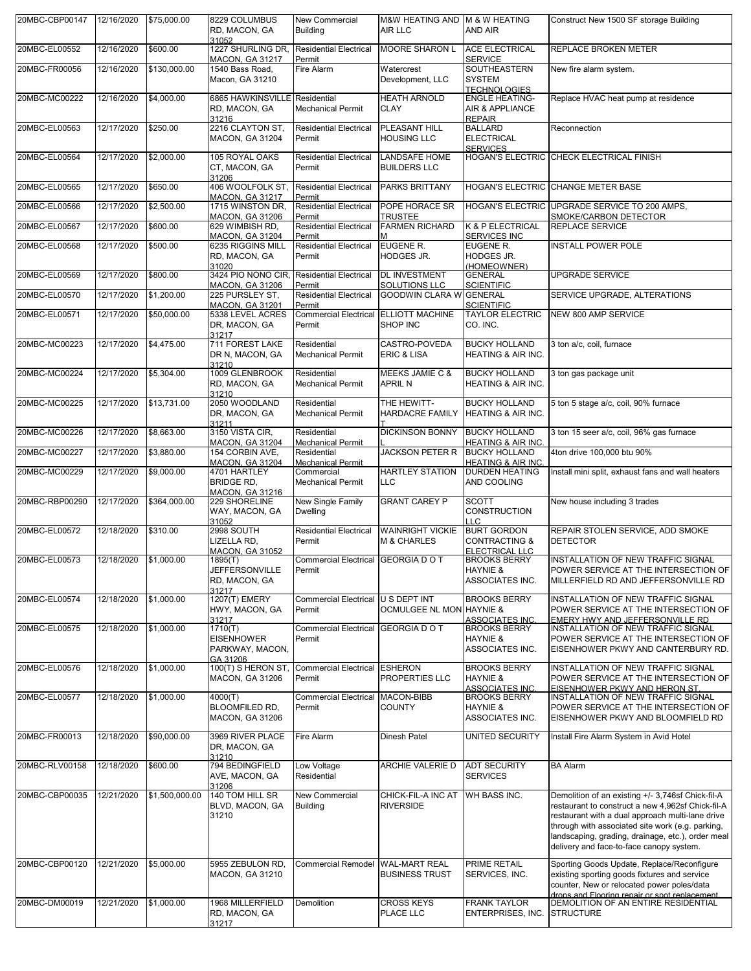| 20MBC-CBP00147 | 12/16/2020 | \$75,000.00    | 8229 COLUMBUS<br>RD, MACON, GA<br>31052                              | <b>New Commercial</b><br><b>Building</b>          | M&W HEATING AND M & W HEATING<br>AIR LLC          | <b>AND AIR</b>                                                                   | Construct New 1500 SF storage Building                                                                                                                                                                                                                                                                          |
|----------------|------------|----------------|----------------------------------------------------------------------|---------------------------------------------------|---------------------------------------------------|----------------------------------------------------------------------------------|-----------------------------------------------------------------------------------------------------------------------------------------------------------------------------------------------------------------------------------------------------------------------------------------------------------------|
| 20MBC-EL00552  | 12/16/2020 | \$600.00       | 1227 SHURLING DR, Residential Electrical<br>MACON, GA 31217          | Permit                                            | <b>MOORE SHARON L</b>                             | <b>ACE ELECTRICAL</b><br><b>SERVICE</b>                                          | <b>REPLACE BROKEN METER</b>                                                                                                                                                                                                                                                                                     |
| 20MBC-FR00056  | 12/16/2020 | \$130,000.00   | 1540 Bass Road,<br>Macon, GA 31210                                   | Fire Alarm                                        | Watercrest<br>Development, LLC                    | SOUTHEASTERN<br><b>SYSTEM</b><br><b>TECHNOLOGIES</b>                             | New fire alarm system.                                                                                                                                                                                                                                                                                          |
| 20MBC-MC00222  | 12/16/2020 | \$4,000.00     | 6865 HAWKINSVILLE Residential<br>RD, MACON, GA<br>31216              | <b>Mechanical Permit</b>                          | <b>HEATH ARNOLD</b><br><b>CLAY</b>                | <b>ENGLE HEATING-</b><br><b>AIR &amp; APPLIANCE</b><br><b>REPAIR</b>             | Replace HVAC heat pump at residence                                                                                                                                                                                                                                                                             |
| 20MBC-EL00563  | 12/17/2020 | \$250.00       | 2216 CLAYTON ST,<br><b>MACON, GA 31204</b>                           | <b>Residential Electrical</b><br>Permit           | PLEASANT HILL<br><b>HOUSING LLC</b>               | <b>BALLARD</b><br><b>ELECTRICAL</b><br><b>SERVICES</b>                           | Reconnection                                                                                                                                                                                                                                                                                                    |
| 20MBC-EL00564  | 12/17/2020 | \$2,000.00     | 105 ROYAL OAKS<br>CT, MACON, GA<br>31206                             | <b>Residential Electrical</b><br>Permit           | LANDSAFE HOME<br><b>BUILDERS LLC</b>              |                                                                                  | HOGAN'S ELECTRIC CHECK ELECTRICAL FINISH                                                                                                                                                                                                                                                                        |
| 20MBC-EL00565  | 12/17/2020 | \$650.00       | 406 WOOLFOLK ST,<br><b>MACON, GA 31217</b>                           | <b>Residential Electrical</b><br>Permit           | PARKS BRITTANY                                    |                                                                                  | HOGAN'S ELECTRIC CHANGE METER BASE                                                                                                                                                                                                                                                                              |
| 20MBC-EL00566  | 12/17/2020 | \$2,500.00     | 1715 WINSTON DR,                                                     | <b>Residential Electrical</b>                     | POPE HORACE SR                                    |                                                                                  | HOGAN'S ELECTRIC UPGRADE SERVICE TO 200 AMPS.                                                                                                                                                                                                                                                                   |
| 20MBC-EL00567  | 12/17/2020 | \$600.00       | MACON, GA 31206<br>629 WIMBISH RD,<br>MACON, GA 31204                | Permit<br><b>Residential Electrical</b><br>Permit | <b>TRUSTEE</b><br><b>FARMEN RICHARD</b><br>м      | K & P ELECTRICAL<br>SERVICES INC                                                 | SMOKE/CARBON DETECTOR<br><b>REPLACE SERVICE</b>                                                                                                                                                                                                                                                                 |
| 20MBC-EL00568  | 12/17/2020 | \$500.00       | 6235 RIGGINS MILL<br>RD, MACON, GA                                   | <b>Residential Electrical</b><br>Permit           | EUGENE R.<br>HODGES JR.                           | EUGENE R.<br><b>HODGES JR.</b>                                                   | INSTALL POWER POLE                                                                                                                                                                                                                                                                                              |
| 20MBC-EL00569  | 12/17/2020 | \$800.00       | 31020<br>3424 PIO NONO CIR,                                          | <b>Residential Electrical</b>                     | <b>DL INVESTMENT</b>                              | (HOMEOWNER)<br><b>GENERAL</b>                                                    | <b>UPGRADE SERVICE</b>                                                                                                                                                                                                                                                                                          |
| 20MBC-EL00570  | 12/17/2020 | \$1,200.00     | <b>MACON, GA 31206</b><br>225 PURSLEY ST,                            | Permit<br><b>Residential Electrical</b>           | SOLUTIONS LLC<br><b>GOODWIN CLARA W GENERAL</b>   | <b>SCIENTIFIC</b>                                                                | SERVICE UPGRADE, ALTERATIONS                                                                                                                                                                                                                                                                                    |
| 20MBC-EL00571  | 12/17/2020 | \$50,000.00    | <b>MACON, GA 31201</b><br>5338 LEVEL ACRES                           | Permit<br>Commercial Electrical ELLIOTT MACHINE   |                                                   | <b>SCIENTIFIC</b><br><b>TAYLOR ELECTRIC</b>                                      | NEW 800 AMP SERVICE                                                                                                                                                                                                                                                                                             |
|                |            |                | DR, MACON, GA<br>31217                                               | Permit                                            | SHOP INC                                          | CO. INC.                                                                         |                                                                                                                                                                                                                                                                                                                 |
| 20MBC-MC00223  | 12/17/2020 | \$4,475.00     | 711 FOREST LAKE<br>DR N, MACON, GA<br>31210                          | Residential<br><b>Mechanical Permit</b>           | CASTRO-POVEDA<br><b>ERIC &amp; LISA</b>           | <b>BUCKY HOLLAND</b><br>HEATING & AIR INC.                                       | 3 ton a/c. coil. furnace                                                                                                                                                                                                                                                                                        |
| 20MBC-MC00224  | 12/17/2020 | \$5,304.00     | 1009 GLENBROOK<br>RD, MACON, GA<br>31210                             | Residential<br><b>Mechanical Permit</b>           | MEEKS JAMIE C &<br><b>APRIL N</b>                 | <b>BUCKY HOLLAND</b><br>HEATING & AIR INC.                                       | 3 ton gas package unit                                                                                                                                                                                                                                                                                          |
| 20MBC-MC00225  | 12/17/2020 | \$13,731.00    | 2050 WOODLAND<br>DR, MACON, GA<br>31211                              | Residential<br><b>Mechanical Permit</b>           | THE HEWITT-<br><b>HARDACRE FAMILY</b>             | <b>BUCKY HOLLAND</b><br><b>HEATING &amp; AIR INC.</b>                            | 5 ton 5 stage a/c, coil, 90% furnace                                                                                                                                                                                                                                                                            |
| 20MBC-MC00226  | 12/17/2020 | \$8,663.00     | 3150 VISTA CIR,<br>MACON, GA 31204                                   | Residential<br><b>Mechanical Permit</b>           | <b>DICKINSON BONNY</b>                            | <b>BUCKY HOLLAND</b><br><b>HEATING &amp; AIR INC</b>                             | 3 ton 15 seer a/c, coil, 96% gas furnace                                                                                                                                                                                                                                                                        |
| 20MBC-MC00227  | 12/17/2020 | \$3,880.00     | 154 CORBIN AVE,<br><b>MACON, GA 31204</b>                            | Residential<br><b>Mechanical Permit</b>           | <b>JACKSON PETER R</b>                            | <b>BUCKY HOLLAND</b><br><b>HEATING &amp; AIR INC</b>                             | 4ton drive 100,000 btu 90%                                                                                                                                                                                                                                                                                      |
| 20MBC-MC00229  | 12/17/2020 | \$9,000.00     | 4701 HARTLEY<br><b>BRIDGE RD,</b><br><b>MACON, GA 31216</b>          | Commercial<br><b>Mechanical Permit</b>            | <b>HARTLEY STATION</b><br><b>LLC</b>              | <b>DURDEN HEATING</b><br>AND COOLING                                             | Install mini split, exhaust fans and wall heaters                                                                                                                                                                                                                                                               |
| 20MBC-RBP00290 | 12/17/2020 | \$364,000.00   | 229 SHORELINE<br>WAY, MACON, GA<br>31052                             | New Single Family<br><b>Dwelling</b>              | <b>GRANT CAREY P</b>                              | <b>SCOTT</b><br><b>CONSTRUCTION</b><br><b>LLC</b>                                | New house including 3 trades                                                                                                                                                                                                                                                                                    |
| 20MBC-EL00572  | 12/18/2020 | \$310.00       | 2998 SOUTH<br>LIZELLA RD.<br><b>MACON, GA 31052</b>                  | <b>Residential Electrical</b><br>Permit           | <b>WAINRIGHT VICKIE</b><br><b>M &amp; CHARLES</b> | <b>BURT GORDON</b><br><b>CONTRACTING &amp;</b><br><b>ELECTRICAL LLC</b>          | REPAIR STOLEN SERVICE, ADD SMOKE<br><b>DETECTOR</b>                                                                                                                                                                                                                                                             |
| 20MBC-EL00573  | 12/18/2020 | \$1,000.00     | 1895(T)<br><b>JEFFERSONVILLE</b><br>RD, MACON, GA                    | Commercial Electrical GEORGIA DO T<br>Permit      |                                                   | <b>BROOKS BERRY</b><br><b>HAYNIE &amp;</b><br>ASSOCIATES INC.                    | INSTALLATION OF NEW TRAFFIC SIGNAL<br>POWER SERVICE AT THE INTERSECTION OF<br>MILLERFIELD RD AND JEFFERSONVILLE RD                                                                                                                                                                                              |
| 20MBC-EL00574  | 12/18/2020 | \$1,000.00     | 31217<br>1207(T) EMERY<br>HWY, MACON, GA                             | Commercial Electrical U S DEPT INT<br>Permit      | OCMULGEE NL MON HAYNIE &                          | <b>BROOKS BERRY</b>                                                              | INSTALLATION OF NEW TRAFFIC SIGNAL<br>POWER SERVICE AT THE INTERSECTION OF                                                                                                                                                                                                                                      |
| 20MBC-EL00575  | 12/18/2020 | \$1,000.00     | 31217<br>1710(T)<br><b>EISENHOWER</b><br>PARKWAY, MACON.<br>GA 31206 | Commercial Electrical GEORGIA DO T<br>Permit      |                                                   | ASSOCIATES INC.<br><b>BROOKS BERRY</b><br><b>HAYNIE &amp;</b><br>ASSOCIATES INC. | EMERY HWY AND JEFFERSONVILLE RD<br>INSTALLATION OF NEW TRAFFIC SIGNAL<br>POWER SERVICE AT THE INTERSECTION OF<br>EISENHOWER PKWY AND CANTERBURY RD.                                                                                                                                                             |
| 20MBC-EL00576  | 12/18/2020 | \$1,000.00     | 100(T) S HERON ST,<br><b>MACON, GA 31206</b>                         | Commercial Electrical ESHERON<br>Permit           | PROPERTIES LLC                                    | <b>BROOKS BERRY</b><br><b>HAYNIE &amp;</b><br><b>ASSOCIATES INC.</b>             | INSTALLATION OF NEW TRAFFIC SIGNAL<br>POWER SERVICE AT THE INTERSECTION OF<br>EISENHOWER PKWY AND HERON ST.                                                                                                                                                                                                     |
| 20MBC-EL00577  | 12/18/2020 | \$1,000.00     | 4000(T)<br>BLOOMFILED RD,<br><b>MACON, GA 31206</b>                  | Commercial Electrical MACON-BIBB<br>Permit        | <b>COUNTY</b>                                     | <b>BROOKS BERRY</b><br>HAYNIE &<br>ASSOCIATES INC.                               | INSTALLATION OF NEW TRAFFIC SIGNAL<br>POWER SERVICE AT THE INTERSECTION OF<br>EISENHOWER PKWY AND BLOOMFIELD RD                                                                                                                                                                                                 |
| 20MBC-FR00013  | 12/18/2020 | \$90,000.00    | 3969 RIVER PLACE<br>DR, MACON, GA<br>31210                           | Fire Alarm                                        | Dinesh Patel                                      | UNITED SECURITY                                                                  | Install Fire Alarm System in Avid Hotel                                                                                                                                                                                                                                                                         |
| 20MBC-RLV00158 | 12/18/2020 | \$600.00       | 794 BEDINGFIELD<br>AVE, MACON, GA<br>31206                           | Low Voltage<br>Residential                        | ARCHIE VALERIE D                                  | <b>ADT SECURITY</b><br><b>SERVICES</b>                                           | <b>BA Alarm</b>                                                                                                                                                                                                                                                                                                 |
| 20MBC-CBP00035 | 12/21/2020 | \$1,500,000.00 | 140 TOM HILL SR<br>BLVD, MACON, GA<br>31210                          | New Commercial<br><b>Building</b>                 | CHICK-FIL-A INC AT<br><b>RIVERSIDE</b>            | WH BASS INC.                                                                     | Demolition of an existing +/- 3,746sf Chick-fil-A<br>restaurant to construct a new 4,962sf Chick-fil-A<br>restaurant with a dual approach multi-lane drive<br>through with associated site work (e.g. parking,<br>landscaping, grading, drainage, etc.), order meal<br>delivery and face-to-face canopy system. |
| 20MBC-CBP00120 | 12/21/2020 | \$5,000.00     | 5955 ZEBULON RD,<br><b>MACON, GA 31210</b>                           | Commercial Remodel WAL-MART REAL                  | <b>BUSINESS TRUST</b>                             | <b>PRIME RETAIL</b><br>SERVICES, INC.                                            | Sporting Goods Update, Replace/Reconfigure<br>existing sporting goods fixtures and service<br>counter, New or relocated power poles/data                                                                                                                                                                        |
| 20MBC-DM00019  | 12/21/2020 | \$1,000.00     | 1968 MILLERFIELD<br>RD, MACON, GA<br>31217                           | Demolition                                        | <b>CROSS KEYS</b><br>PLACE LLC                    | <b>FRANK TAYLOR</b><br>ENTERPRISES, INC.                                         | drops and Flooring repair or spot replacement.<br>DEMOLITION OF AN ENTIRE RESIDENTIAL<br><b>STRUCTURE</b>                                                                                                                                                                                                       |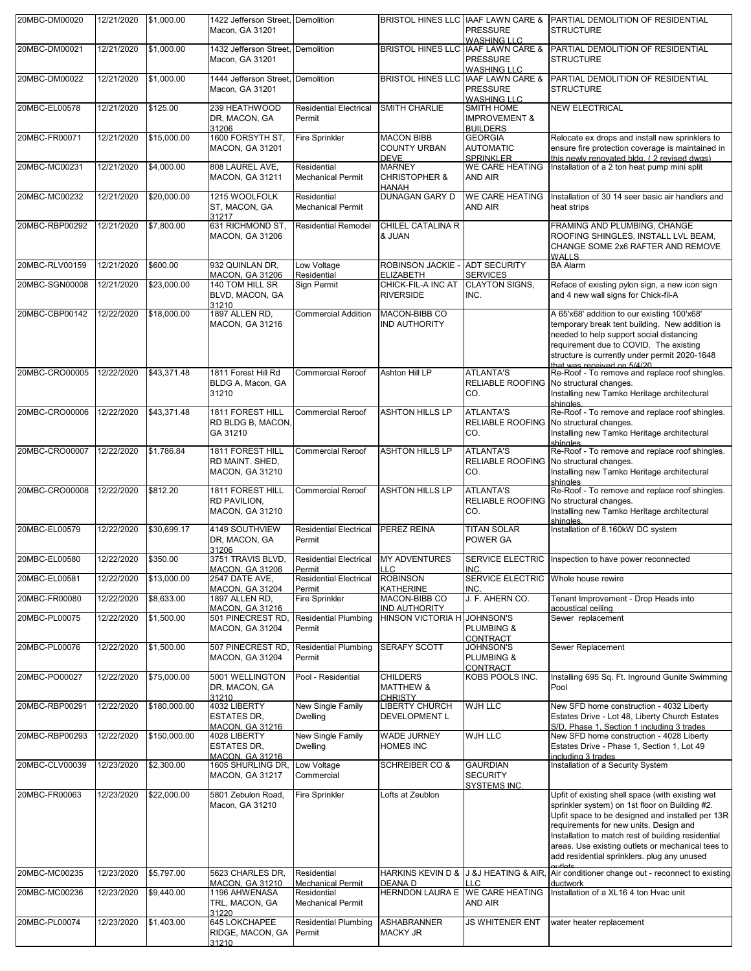| 20MBC-DM00020  | 12/21/2020 | \$1,000.00   | 1422 Jefferson Street, Demolition<br>Macon, GA 31201          |                                                | BRISTOL HINES LLC HAAF LAWN CARE &                        | <b>PRESSURE</b>                                                      | PARTIAL DEMOLITION OF RESIDENTIAL<br><b>STRUCTURE</b>                                                                                                                                                                                                                                                                                                      |
|----------------|------------|--------------|---------------------------------------------------------------|------------------------------------------------|-----------------------------------------------------------|----------------------------------------------------------------------|------------------------------------------------------------------------------------------------------------------------------------------------------------------------------------------------------------------------------------------------------------------------------------------------------------------------------------------------------------|
| 20MBC-DM00021  | 12/21/2020 | \$1,000.00   | 1432 Jefferson Street, Demolition<br>Macon, GA 31201          |                                                | <b>BRISTOL HINES LLC</b>                                  | <b>WASHING LLC</b><br><b>IAAF LAWN CARE &amp;</b><br><b>PRESSURE</b> | PARTIAL DEMOLITION OF RESIDENTIAL<br><b>STRUCTURE</b>                                                                                                                                                                                                                                                                                                      |
| 20MBC-DM00022  | 12/21/2020 | \$1,000.00   | 1444 Jefferson Street, Demolition<br>Macon, GA 31201          |                                                | <b>BRISTOL HINES LLC</b>                                  | <b>WASHING LLC</b><br>IAAF LAWN CARE &<br><b>PRESSURE</b>            | PARTIAL DEMOLITION OF RESIDENTIAL<br><b>STRUCTURE</b>                                                                                                                                                                                                                                                                                                      |
| 20MBC-EL00578  | 12/21/2020 | \$125.00     | 239 HEATHWOOD<br>DR, MACON, GA                                | <b>Residential Electrical</b><br>Permit        | SMITH CHARLIE                                             | <b>WASHING LLC</b><br>SMITH HOME<br><b>IMPROVEMENT &amp;</b>         | <b>NEW ELECTRICAL</b>                                                                                                                                                                                                                                                                                                                                      |
| 20MBC-FR00071  | 12/21/2020 | \$15,000.00  | 31206<br>1600 FORSYTH ST,<br><b>MACON, GA 31201</b>           | <b>Fire Sprinkler</b>                          | <b>MACON BIBB</b><br><b>COUNTY URBAN</b>                  | <b>BUILDERS</b><br><b>GEORGIA</b><br><b>AUTOMATIC</b>                | Relocate ex drops and install new sprinklers to<br>ensure fire protection coverage is maintained in                                                                                                                                                                                                                                                        |
| 20MBC-MC00231  | 12/21/2020 | \$4,000.00   | 808 LAUREL AVE,<br><b>MACON, GA 31211</b>                     | Residential<br><b>Mechanical Permit</b>        | <b>DEVE</b><br><b>MARNEY</b><br><b>CHRISTOPHER &amp;</b>  | <b>SPRINKLER</b><br><b>WE CARE HEATING</b><br>AND AIR                | this newly renovated bldg. (2 revised dwgs)<br>Installation of a 2 ton heat pump mini split                                                                                                                                                                                                                                                                |
| 20MBC-MC00232  | 12/21/2020 | \$20,000.00  | 1215 WOOLFOLK<br>ST, MACON, GA                                | Residential<br><b>Mechanical Permit</b>        | <b>HANAH</b><br>DUNAGAN GARY D                            | <b>WE CARE HEATING</b><br>AND AIR                                    | Installation of 30 14 seer basic air handlers and<br>heat strips                                                                                                                                                                                                                                                                                           |
| 20MBC-RBP00292 | 12/21/2020 | \$7,800.00   | 31217<br>631 RICHMOND ST,<br>MACON, GA 31206                  | <b>Residential Remodel</b>                     | CHILEL CATALINA R<br>& JUAN                               |                                                                      | FRAMING AND PLUMBING, CHANGE<br>ROOFING SHINGLES, INSTALL LVL BEAM,<br>CHANGE SOME 2x6 RAFTER AND REMOVE                                                                                                                                                                                                                                                   |
| 20MBC-RLV00159 | 12/21/2020 | \$600.00     | 932 QUINLAN DR.<br><b>MACON, GA 31206</b>                     | Low Voltage<br>Residential                     | ROBINSON JACKIE -<br><b>ELIZABETH</b>                     | <b>ADT SECURITY</b><br><b>SERVICES</b>                               | <b>WALLS</b><br><b>BA Alarm</b>                                                                                                                                                                                                                                                                                                                            |
| 20MBC-SGN00008 | 12/21/2020 | \$23,000.00  | 140 TOM HILL SR<br>BLVD, MACON, GA<br>31210                   | Sign Permit                                    | CHICK-FIL-A INC AT<br><b>RIVERSIDE</b>                    | <b>CLAYTON SIGNS,</b><br>INC.                                        | Reface of existing pylon sign, a new icon sign<br>and 4 new wall signs for Chick-fil-A                                                                                                                                                                                                                                                                     |
| 20MBC-CBP00142 | 12/22/2020 | \$18,000.00  | 1897 ALLEN RD,<br><b>MACON, GA 31216</b>                      | <b>Commercial Addition</b>                     | MACON-BIBB CO<br><b>IND AUTHORITY</b>                     |                                                                      | A 65'x68' addition to our existing 100'x68'<br>temporary break tent building. New addition is<br>needed to help support social distancing<br>requirement due to COVID. The existing<br>structure is currently under permit 2020-1648<br>that was received on 5/4/20                                                                                        |
| 20MBC-CRO00005 | 12/22/2020 | \$43,371.48  | 1811 Forest Hill Rd<br>BLDG A, Macon, GA<br>31210             | <b>Commercial Reroof</b>                       | Ashton Hill LP                                            | <b>ATLANTA'S</b><br><b>RELIABLE ROOFING</b><br>CO.                   | Re-Roof - To remove and replace roof shingles.<br>No structural changes.<br>Installing new Tamko Heritage architectural<br>shingles.                                                                                                                                                                                                                       |
| 20MBC-CRO00006 | 12/22/2020 | \$43,371.48  | 1811 FOREST HILL<br>RD BLDG B, MACON.<br>GA 31210             | <b>Commercial Reroof</b>                       | <b>ASHTON HILLS LP</b>                                    | <b>ATLANTA'S</b><br><b>RELIABLE ROOFING</b><br>CO.                   | Re-Roof - To remove and replace roof shingles.<br>No structural changes.<br>Installing new Tamko Heritage architectural<br>shingles.                                                                                                                                                                                                                       |
| 20MBC-CRO00007 | 12/22/2020 | \$1,786.84   | 1811 FOREST HILL<br>RD MAINT. SHED,<br><b>MACON, GA 31210</b> | <b>Commercial Reroof</b>                       | <b>ASHTON HILLS LP</b>                                    | <b>ATLANTA'S</b><br><b>RELIABLE ROOFING</b><br>CO.                   | Re-Roof - To remove and replace roof shingles.<br>No structural changes.<br>Installing new Tamko Heritage architectural                                                                                                                                                                                                                                    |
| 20MBC-CRO00008 | 12/22/2020 | \$812.20     | 1811 FOREST HILL<br>RD PAVILION,<br><b>MACON, GA 31210</b>    | <b>Commercial Reroof</b>                       | <b>ASHTON HILLS LP</b>                                    | <b>ATLANTA'S</b><br><b>RELIABLE ROOFING</b><br>CO.                   | shingles<br>Re-Roof - To remove and replace roof shingles.<br>No structural changes.<br>Installing new Tamko Heritage architectural                                                                                                                                                                                                                        |
| 20MBC-EL00579  | 12/22/2020 | \$30,699.17  | 4149 SOUTHVIEW<br>DR, MACON, GA                               | <b>Residential Electrical</b><br>Permit        | PEREZ REINA                                               | <b>TITAN SOLAR</b><br>POWER GA                                       | shingles.<br>Installation of 8.160kW DC system                                                                                                                                                                                                                                                                                                             |
| 20MBC-EL00580  | 12/22/2020 | \$350.00     | 31206<br>3751 TRAVIS BLVD,<br><b>MACON, GA 31206</b>          | Residential Electrical MY ADVENTURES<br>Permit | <b>LLC</b>                                                | INC.                                                                 | SERVICE ELECTRIC Inspection to have power reconnected                                                                                                                                                                                                                                                                                                      |
| 20MBC-EL00581  | 12/22/2020 | \$13,000.00  | 2547 DATE AVE,<br>MACON, GA 31204                             | <b>Residential Electrical</b><br>Permit        | <b>ROBINSON</b><br><b>KATHERINE</b>                       | <b>SERVICE ELECTRIC</b><br>INC.                                      | Whole house rewire                                                                                                                                                                                                                                                                                                                                         |
| 20MBC-FR00080  | 12/22/2020 | \$8,633.00   | 1897 ALLEN RD.<br>MACON, GA 31216                             | <b>Fire Sprinkler</b>                          | MACON-BIBB CO<br><b>IND AUTHORITY</b>                     | J. F. AHERN CO.                                                      | Tenant Improvement - Drop Heads into<br>acoustical ceiling                                                                                                                                                                                                                                                                                                 |
| 20MBC-PL00075  | 12/22/2020 | \$1,500.00   | 501 PINECREST RD,<br><b>MACON, GA 31204</b>                   | <b>Residential Plumbing</b><br>Permit          | <b>HINSON VICTORIA H</b>                                  | JOHNSON'S<br><b>PLUMBING &amp;</b><br>CONTRACT                       | Sewer replacement                                                                                                                                                                                                                                                                                                                                          |
| 20MBC-PL00076  | 12/22/2020 | \$1,500.00   | 507 PINECREST RD<br><b>MACON, GA 31204</b>                    | <b>Residential Plumbing</b><br>Permit          | <b>SERAFY SCOTT</b>                                       | JOHNSON'S<br><b>PLUMBING &amp;</b><br>CONTRACT                       | Sewer Replacement                                                                                                                                                                                                                                                                                                                                          |
| 20MBC-PO00027  | 12/22/2020 | \$75,000.00  | 5001 WELLINGTON<br>DR, MACON, GA<br>31210                     | Pool - Residential                             | <b>CHILDERS</b><br><b>MATTHEW &amp;</b><br><b>CHRISTY</b> | KOBS POOLS INC.                                                      | Installing 695 Sq. Ft. Inground Gunite Swimming<br>Pool                                                                                                                                                                                                                                                                                                    |
| 20MBC-RBP00291 | 12/22/2020 | \$180,000.00 | 4032 LIBERTY<br><b>ESTATES DR.</b><br><b>MACON, GA 31216</b>  | New Single Family<br><b>Dwelling</b>           | <b>LIBERTY CHURCH</b><br><b>DEVELOPMENT L</b>             | <b>WJH LLC</b>                                                       | New SFD home construction - 4032 Liberty<br>Estates Drive - Lot 48, Liberty Church Estates<br>S/D. Phase 1. Section 1 including 3 trades                                                                                                                                                                                                                   |
| 20MBC-RBP00293 | 12/22/2020 | \$150,000.00 | 4028 LIBERTY<br>ESTATES DR,<br><b>MACON, GA 31216</b>         | New Single Family<br><b>Dwelling</b>           | WADE JURNEY<br><b>HOMES INC</b>                           | <b>WJH LLC</b>                                                       | New SFD home construction - 4028 Liberty<br>Estates Drive - Phase 1, Section 1, Lot 49<br>including 3 trades                                                                                                                                                                                                                                               |
| 20MBC-CLV00039 | 12/23/2020 | \$2,300.00   | 1605 SHURLING DR, Low Voltage<br><b>MACON, GA 31217</b>       | Commercial                                     | <b>SCHREIBER CO &amp;</b>                                 | <b>GAURDIAN</b><br><b>SECURITY</b>                                   | Installation of a Security System                                                                                                                                                                                                                                                                                                                          |
| 20MBC-FR00063  | 12/23/2020 | \$22,000.00  | 5801 Zebulon Road,<br>Macon, GA 31210                         | <b>Fire Sprinkler</b>                          | Lofts at Zeublon                                          | <b>SYSTEMS INC.</b>                                                  | Upfit of existing shell space (with existing wet<br>sprinkler system) on 1st floor on Building #2.<br>Upfit space to be designed and installed per 13R<br>requirements for new units. Design and<br>Installation to match rest of building residential<br>areas. Use existing outlets or mechanical tees to<br>add residential sprinklers. plug any unused |
| 20MBC-MC00235  | 12/23/2020 | \$5,797.00   | 5623 CHARLES DR,<br><b>MACON, GA 31210</b>                    | Residential<br><b>Mechanical Permit</b>        | HARKINS KEVIN D &<br>DEANA D                              | J &J HEATING & AIR,<br><b>LLC</b>                                    | Air conditioner change out - reconnect to existing<br>ductwork                                                                                                                                                                                                                                                                                             |
| 20MBC-MC00236  | 12/23/2020 | \$9,440.00   | 1196 AHWENASA<br>TRL, MACON, GA<br>31220                      | Residential<br><b>Mechanical Permit</b>        | HERNDON LAURA E WE CARE HEATING                           | AND AIR                                                              | Installation of a XL16 4 ton Hvac unit                                                                                                                                                                                                                                                                                                                     |
| 20MBC-PL00074  | 12/23/2020 | \$1,403.00   | 645 LOKCHAPEE<br>RIDGE, MACON, GA<br>31210                    | <b>Residential Plumbing</b><br>Permit          | ASHABRANNER<br><b>MACKY JR</b>                            | <b>JS WHITENER ENT</b>                                               | water heater replacement                                                                                                                                                                                                                                                                                                                                   |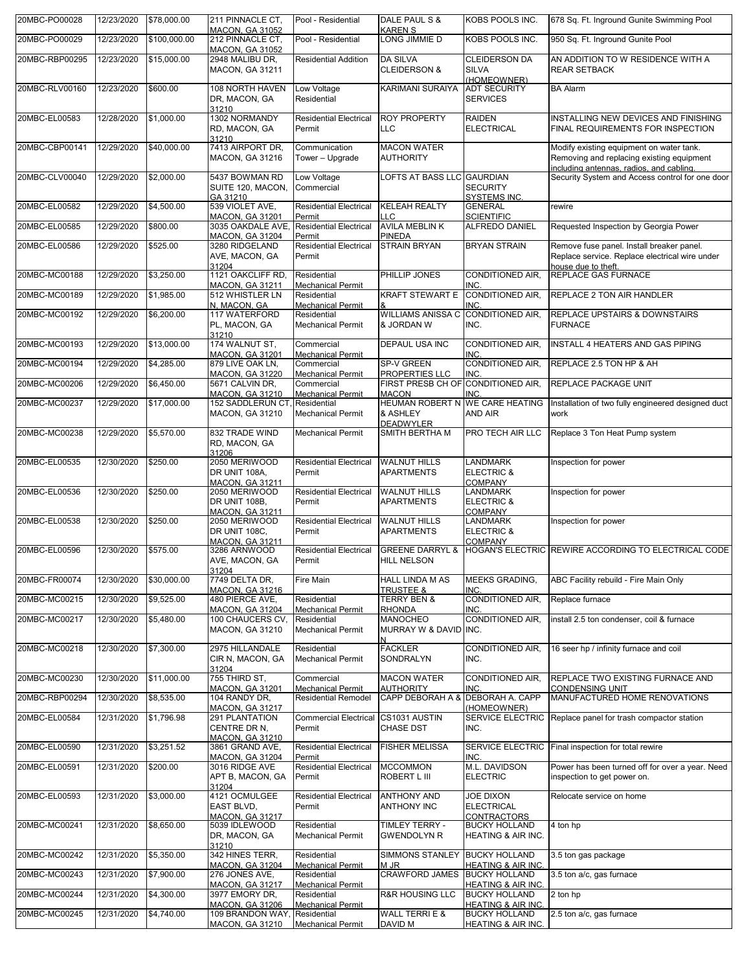| 20MBC-PO00028  | 12/23/2020 | \$78,000.00  | 211 PINNACLE CT.<br><b>MACON, GA 31052</b>                                | Pool - Residential                                                  | DALE PAUL S &<br><b>KAREN S</b>                             | KOBS POOLS INC.                                                                        | 678 Sq. Ft. Inground Gunite Swimming Pool                                                                                         |
|----------------|------------|--------------|---------------------------------------------------------------------------|---------------------------------------------------------------------|-------------------------------------------------------------|----------------------------------------------------------------------------------------|-----------------------------------------------------------------------------------------------------------------------------------|
| 20MBC-PO00029  | 12/23/2020 | \$100,000.00 | 212 PINNACLE CT,                                                          | Pool - Residential                                                  | LONG JIMMIE D                                               | KOBS POOLS INC.                                                                        | 950 Sq. Ft. Inground Gunite Pool                                                                                                  |
| 20MBC-RBP00295 | 12/23/2020 | \$15,000.00  | <b>MACON, GA 31052</b><br>2948 MALIBU DR,                                 | <b>Residential Addition</b>                                         | <b>DA SILVA</b>                                             | <b>CLEIDERSON DA</b>                                                                   | AN ADDITION TO W RESIDENCE WITH A                                                                                                 |
|                |            |              | MACON, GA 31211                                                           |                                                                     | <b>CLEIDERSON &amp;</b>                                     | <b>SILVA</b><br>(HOMEOWNER)                                                            | <b>REAR SETBACK</b>                                                                                                               |
| 20MBC-RLV00160 | 12/23/2020 | \$600.00     | 108 NORTH HAVEN<br>DR, MACON, GA<br>31210                                 | Low Voltage<br>Residential                                          | <b>KARIMANI SURAIYA</b>                                     | <b>ADT SECURITY</b><br><b>SERVICES</b>                                                 | <b>BA Alarm</b>                                                                                                                   |
| 20MBC-EL00583  | 12/28/2020 | \$1,000.00   | 1302 NORMANDY<br>RD, MACON, GA<br>31210                                   | <b>Residential Electrical</b><br>Permit                             | <b>ROY PROPERTY</b><br><b>LLC</b>                           | <b>RAIDEN</b><br><b>ELECTRICAL</b>                                                     | INSTALLING NEW DEVICES AND FINISHING<br>FINAL REQUIREMENTS FOR INSPECTION                                                         |
| 20MBC-CBP00141 | 12/29/2020 | \$40,000.00  | 7413 AIRPORT DR.<br><b>MACON, GA 31216</b>                                | Communication<br>Tower - Upgrade                                    | <b>MACON WATER</b><br><b>AUTHORITY</b>                      |                                                                                        | Modify existing equipment on water tank.<br>Removing and replacing existing equipment<br>including antennas, radios, and cabling. |
| 20MBC-CLV00040 | 12/29/2020 | \$2,000.00   | 5437 BOWMAN RD<br>SUITE 120, MACON,<br>GA 31210                           | Low Voltage<br>Commercial                                           | LOFTS AT BASS LLC GAURDIAN                                  | <b>SECURITY</b><br>SYSTEMS INC.                                                        | Security System and Access control for one door                                                                                   |
| 20MBC-EL00582  | 12/29/2020 | \$4,500.00   | 539 VIOLET AVE,<br>MACON, GA 31201                                        | <b>Residential Electrical</b><br>Permit                             | <b>KELEAH REALTY</b><br><b>LLC</b>                          | <b>GENERAL</b><br><b>SCIENTIFIC</b>                                                    | rewire                                                                                                                            |
| 20MBC-EL00585  | 12/29/2020 | \$800.00     | 3035 OAKDALE AVE,<br><b>MACON, GA 31204</b>                               | <b>Residential Electrical</b><br>Permit                             | <b>AVILA MEBLIN K</b><br><b>PINEDA</b>                      | ALFREDO DANIEL                                                                         | Requested Inspection by Georgia Power                                                                                             |
| 20MBC-EL00586  | 12/29/2020 | \$525.00     | 3280 RIDGELAND<br>AVE, MACON, GA<br>31204                                 | <b>Residential Electrical</b><br>Permit                             | <b>STRAIN BRYAN</b>                                         | <b>BRYAN STRAIN</b>                                                                    | Remove fuse panel. Install breaker panel.<br>Replace service. Replace electrical wire under<br>house due to theft.                |
| 20MBC-MC00188  | 12/29/2020 | \$3,250.00   | 1121 OAKCLIFF RD,<br><b>MACON, GA 31211</b>                               | Residential<br><b>Mechanical Permit</b>                             | PHILLIP JONES                                               | <b>CONDITIONED AIR,</b><br><b>INC</b>                                                  | REPLACE GAS FURNACE                                                                                                               |
| 20MBC-MC00189  | 12/29/2020 | \$1,985.00   | 512 WHISTLER LN<br>N, MACON, GA                                           | Residential<br><b>Mechanical Permit</b>                             | <b>KRAFT STEWART E</b>                                      | CONDITIONED AIR,<br>INC.                                                               | REPLACE 2 TON AIR HANDLER                                                                                                         |
| 20MBC-MC00192  | 12/29/2020 | \$6,200.00   | <b>117 WATERFORD</b><br>PL, MACON, GA<br>31210                            | Residential<br><b>Mechanical Permit</b>                             | <b>WILLIAMS ANISSA C</b><br>& JORDAN W                      | CONDITIONED AIR.<br>INC.                                                               | REPLACE UPSTAIRS & DOWNSTAIRS<br><b>FURNACE</b>                                                                                   |
| 20MBC-MC00193  | 12/29/2020 | \$13,000.00  | 174 WALNUT ST,<br><b>MACON, GA 31201</b>                                  | Commercial<br><b>Mechanical Permit</b>                              | <b>DEPAUL USA INC</b>                                       | <b>CONDITIONED AIR,</b><br><b>INC</b>                                                  | INSTALL 4 HEATERS AND GAS PIPING                                                                                                  |
| 20MBC-MC00194  | 12/29/2020 | \$4,285.00   | 879 LIVE OAK LN,                                                          | Commercial                                                          | SP-V GREEN                                                  | CONDITIONED AIR,                                                                       | REPLACE 2.5 TON HP & AH                                                                                                           |
| 20MBC-MC00206  | 12/29/2020 | \$6,450.00   | <b>MACON, GA 31220</b><br>5671 CALVIN DR,                                 | <b>Mechanical Permit</b><br>Commercial                              | <b>PROPERTIES LLC</b><br>FIRST PRESB CH OF CONDITIONED AIR, | <b>INC</b>                                                                             | REPLACE PACKAGE UNIT                                                                                                              |
| 20MBC-MC00237  | 12/29/2020 | \$17,000.00  | <b>MACON, GA 31210</b><br>152 SADDLERUN CT, Residential                   | <b>Mechanical Permit</b>                                            | <b>MACON</b><br>HEUMAN ROBERT N WE CARE HEATING             | <b>INC</b>                                                                             | Installation of two fully engineered designed duct                                                                                |
| 20MBC-MC00238  | 12/29/2020 | \$5,570.00   | <b>MACON, GA 31210</b><br>832 TRADE WIND<br>RD, MACON, GA                 | <b>Mechanical Permit</b><br><b>Mechanical Permit</b>                | & ASHLEY<br><b>DEADWYLER</b><br>SMITH BERTHA M              | <b>AND AIR</b><br>PRO TECH AIR LLC                                                     | work<br>Replace 3 Ton Heat Pump system                                                                                            |
| 20MBC-EL00535  | 12/30/2020 | \$250.00     | 31206<br>2050 MERIWOOD                                                    | <b>Residential Electrical</b>                                       | <b>WALNUT HILLS</b>                                         | <b>LANDMARK</b>                                                                        | Inspection for power                                                                                                              |
|                |            |              | DR UNIT 108A,<br><b>MACON, GA 31211</b>                                   | Permit                                                              | <b>APARTMENTS</b>                                           | <b>ELECTRIC &amp;</b><br><b>COMPANY</b>                                                |                                                                                                                                   |
| 20MBC-EL00536  | 12/30/2020 | \$250.00     | 2050 MERIWOOD<br>DR UNIT 108B.<br><b>MACON, GA 31211</b>                  | <b>Residential Electrical</b><br>Permit                             | <b>WALNUT HILLS</b><br><b>APARTMENTS</b>                    | <b>LANDMARK</b><br><b>ELECTRIC &amp;</b><br><b>COMPANY</b>                             | Inspection for power                                                                                                              |
| 20MBC-EL00538  | 12/30/2020 | \$250.00     | 2050 MERIWOOD<br>DR UNIT 108C.<br><b>MACON, GA 31211</b>                  | <b>Residential Electrical</b><br>Permit                             | <b>WALNUT HILLS</b><br><b>APARTMENTS</b>                    | <b>LANDMARK</b><br><b>ELECTRIC &amp;</b><br>COMPANY                                    | Inspection for power                                                                                                              |
| 20MBC-EL00596  | 12/30/2020 | \$575.00     | 3286 ARNWOOD<br>AVE, MACON, GA<br>31204                                   | <b>Residential Electrical</b><br>Permit                             | <b>GREENE DARRYL &amp;</b><br><b>HILL NELSON</b>            |                                                                                        | HOGAN'S ELECTRIC REWIRE ACCORDING TO ELECTRICAL CODE                                                                              |
| 20MBC-FR00074  | 12/30/2020 | \$30,000.00  | 7749 DELTA DR,                                                            | Fire Main                                                           | HALL LINDA M AS                                             | <b>MEEKS GRADING,</b>                                                                  | ABC Facility rebuild - Fire Main Only                                                                                             |
| 20MBC-MC00215  | 12/30/2020 | \$9,525.00   | <b>MACON, GA 31216</b><br>480 PIERCE AVE.                                 | Residential                                                         | <b>TRUSTEE &amp;</b><br><b>TERRY BEN &amp;</b>              | INC.<br>CONDITIONED AIR,                                                               | Replace furnace                                                                                                                   |
| 20MBC-MC00217  | 12/30/2020 | \$5,480.00   | <b>MACON, GA 31204</b><br>100 CHAUCERS CV,<br><b>MACON, GA 31210</b>      | <b>Mechanical Permit</b><br>Residential<br><b>Mechanical Permit</b> | <b>RHONDA</b><br><b>MANOCHEO</b><br>MURRAY W & DAVID INC.   | INC<br>CONDITIONED AIR,                                                                | install 2.5 ton condenser, coil & furnace                                                                                         |
| 20MBC-MC00218  | 12/30/2020 | \$7,300.00   | 2975 HILLANDALE<br>CIR N, MACON, GA                                       | Residential<br><b>Mechanical Permit</b>                             | <b>FACKLER</b><br>SONDRALYN                                 | CONDITIONED AIR,<br>INC.                                                               | 16 seer hp / infinity furnace and coil                                                                                            |
| 20MBC-MC00230  | 12/30/2020 | \$11,000.00  | 31204<br>755 THIRD ST,                                                    | Commercial                                                          | <b>MACON WATER</b>                                          | CONDITIONED AIR,<br>INC.                                                               | REPLACE TWO EXISTING FURNACE AND                                                                                                  |
| 20MBC-RBP00294 | 12/30/2020 | \$8,535.00   | <b>MACON, GA 31201</b><br>104 RANDY DR,                                   | <b>Mechanical Permit</b><br><b>Residential Remodel</b>              | <b>AUTHORITY</b><br>CAPP DEBORAH A & DEBORAH A. CAPP        | (HOMEOWNER)                                                                            | <b>CONDENSING UNIT</b><br>MANUFACTURED HOME RENOVATIONS                                                                           |
| 20MBC-EL00584  | 12/31/2020 | \$1,796.98   | <b>MACON, GA 31217</b><br>291 PLANTATION<br>CENTRE DR N,                  | <b>Commercial Electrical</b><br>Permit                              | CS1031 AUSTIN<br><b>CHASE DST</b>                           | SERVICE ELECTRIC<br>INC.                                                               | Replace panel for trash compactor station                                                                                         |
| 20MBC-EL00590  | 12/31/2020 | \$3,251.52   | <b>MACON, GA 31210</b><br>3861 GRAND AVE,                                 | <b>Residential Electrical</b>                                       | <b>FISHER MELISSA</b>                                       | <b>SERVICE ELECTRIC</b>                                                                | Final inspection for total rewire                                                                                                 |
| 20MBC-EL00591  | 12/31/2020 | \$200.00     | MACON, GA 31204<br>3016 RIDGE AVE<br>APT B, MACON, GA                     | Permit<br><b>Residential Electrical</b><br>Permit                   | <b>MCCOMMON</b><br>ROBERT L III                             | INC.<br>M.L. DAVIDSON<br><b>ELECTRIC</b>                                               | Power has been turned off for over a year. Need<br>inspection to get power on.                                                    |
| 20MBC-EL00593  | 12/31/2020 | \$3,000.00   | 31204<br>4121 OCMULGEE<br>EAST BLVD,                                      | <b>Residential Electrical</b><br>Permit                             | <b>ANTHONY AND</b><br>ANTHONY INC                           | <b>JOE DIXON</b><br><b>ELECTRICAL</b>                                                  | Relocate service on home                                                                                                          |
| 20MBC-MC00241  | 12/31/2020 | \$8,650.00   | <b>MACON, GA 31217</b><br>5039 IDLEWOOD<br>DR, MACON, GA                  | Residential<br><b>Mechanical Permit</b>                             | TIMLEY TERRY -<br><b>GWENDOLYN R</b>                        | <b>CONTRACTORS</b><br><b>BUCKY HOLLAND</b><br><b>HEATING &amp; AIR INC.</b>            | 4 ton hp                                                                                                                          |
| 20MBC-MC00242  | 12/31/2020 | \$5,350.00   | 31210<br>342 HINES TERR,                                                  | Residential                                                         | <b>SIMMONS STANLEY</b>                                      | <b>BUCKY HOLLAND</b>                                                                   | 3.5 ton gas package                                                                                                               |
| 20MBC-MC00243  | 12/31/2020 | \$7,900.00   | <b>MACON, GA 31204</b><br>276 JONES AVE,                                  | <b>Mechanical Permit</b><br>Residential<br><b>Mechanical Permit</b> | M JR<br><b>CRAWFORD JAMES</b>                               | <b>HEATING &amp; AIR INC</b><br><b>BUCKY HOLLAND</b>                                   | 3.5 ton a/c, gas furnace                                                                                                          |
| 20MBC-MC00244  | 12/31/2020 | \$4,300.00   | <b>MACON, GA 31217</b><br>3977 EMORY DR,                                  | Residential                                                         | <b>R&amp;R HOUSING LLC</b>                                  | <b>HEATING &amp; AIR INC.</b><br><b>BUCKY HOLLAND</b>                                  | 2 ton hp                                                                                                                          |
| 20MBC-MC00245  | 12/31/2020 | \$4,740.00   | MACON, GA 31206<br>109 BRANDON WAY, Residential<br><b>MACON, GA 31210</b> | <b>Mechanical Permit</b><br><b>Mechanical Permit</b>                | WALL TERRI E &<br>DAVID M                                   | <b>HEATING &amp; AIR INC.</b><br><b>BUCKY HOLLAND</b><br><b>HEATING &amp; AIR INC.</b> | 2.5 ton a/c, gas furnace                                                                                                          |